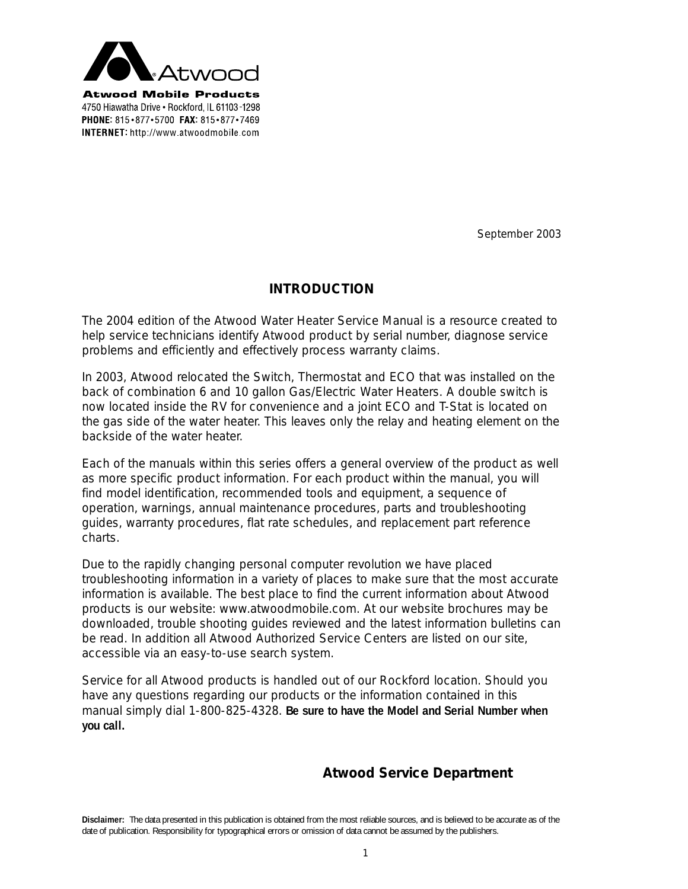

September 2003

# **INTRODUCTION**

The 2004 edition of the Atwood Water Heater Service Manual is a resource created to help service technicians identify Atwood product by serial number, diagnose service problems and efficiently and effectively process warranty claims.

In 2003, Atwood relocated the Switch, Thermostat and ECO that was installed on the back of combination 6 and 10 gallon Gas/Electric Water Heaters. A double switch is now located inside the RV for convenience and a joint ECO and T-Stat is located on the gas side of the water heater. This leaves only the relay and heating element on the backside of the water heater.

Each of the manuals within this series offers a general overview of the product as well as more specific product information. For each product within the manual, you will find model identification, recommended tools and equipment, a sequence of operation, warnings, annual maintenance procedures, parts and troubleshooting guides, warranty procedures, flat rate schedules, and replacement part reference charts.

Due to the rapidly changing personal computer revolution we have placed troubleshooting information in a variety of places to make sure that the most accurate information is available. The best place to find the current information about Atwood products is our website: www.atwoodmobile.com. At our website brochures may be downloaded, trouble shooting guides reviewed and the latest information bulletins can be read. In addition all Atwood Authorized Service Centers are listed on our site, accessible via an easy-to-use search system.

Service for all Atwood products is handled out of our Rockford location. Should you have any questions regarding our products or the information contained in this manual simply dial 1-800-825-4328. **Be sure to have the Model and Serial Number when you call.**

# **Atwood Service Department**

**Disclaimer:** The data presented in this publication is obtained from the most reliable sources, and is believed to be accurate as of the date of publication. Responsibility for typographical errors or omission of data cannot be assumed by the publishers.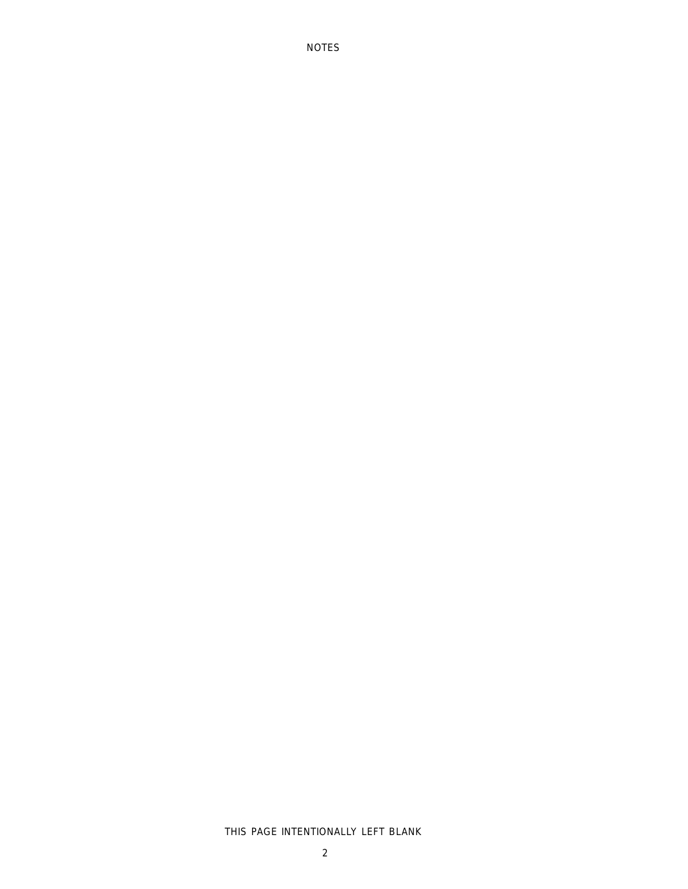## THIS PAGE INTENTIONALLY LEFT BLANK

NOTES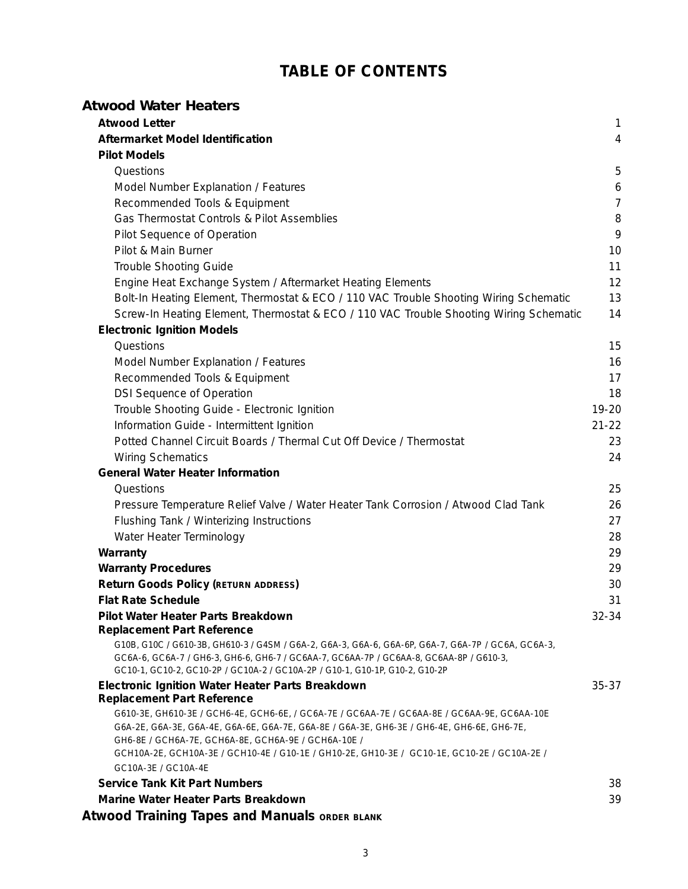# **TABLE OF CONTENTS**

| <b>Atwood Water Heaters</b>                                                                                                                                                                                                                                                |                |
|----------------------------------------------------------------------------------------------------------------------------------------------------------------------------------------------------------------------------------------------------------------------------|----------------|
| <b>Atwood Letter</b>                                                                                                                                                                                                                                                       | 1              |
| <b>Aftermarket Model Identification</b>                                                                                                                                                                                                                                    | $\overline{4}$ |
| <b>Pilot Models</b>                                                                                                                                                                                                                                                        |                |
| Questions                                                                                                                                                                                                                                                                  | 5              |
| Model Number Explanation / Features                                                                                                                                                                                                                                        | 6              |
| Recommended Tools & Equipment                                                                                                                                                                                                                                              | 7              |
| Gas Thermostat Controls & Pilot Assemblies                                                                                                                                                                                                                                 | 8              |
| Pilot Sequence of Operation                                                                                                                                                                                                                                                | 9              |
| Pilot & Main Burner                                                                                                                                                                                                                                                        | 10             |
| Trouble Shooting Guide                                                                                                                                                                                                                                                     | 11             |
| Engine Heat Exchange System / Aftermarket Heating Elements                                                                                                                                                                                                                 | 12             |
| Bolt-In Heating Element, Thermostat & ECO / 110 VAC Trouble Shooting Wiring Schematic                                                                                                                                                                                      | 13             |
| Screw-In Heating Element, Thermostat & ECO / 110 VAC Trouble Shooting Wiring Schematic                                                                                                                                                                                     | 14             |
| <b>Electronic Ignition Models</b>                                                                                                                                                                                                                                          |                |
| Questions                                                                                                                                                                                                                                                                  | 15             |
| Model Number Explanation / Features                                                                                                                                                                                                                                        | 16             |
| Recommended Tools & Equipment                                                                                                                                                                                                                                              | 17             |
| <b>DSI Sequence of Operation</b>                                                                                                                                                                                                                                           | 18             |
| Trouble Shooting Guide - Electronic Ignition                                                                                                                                                                                                                               | $19 - 20$      |
| Information Guide - Intermittent Ignition                                                                                                                                                                                                                                  | $21 - 22$      |
| Potted Channel Circuit Boards / Thermal Cut Off Device / Thermostat                                                                                                                                                                                                        | 23             |
| <b>Wiring Schematics</b>                                                                                                                                                                                                                                                   | 24             |
| <b>General Water Heater Information</b>                                                                                                                                                                                                                                    |                |
| Questions                                                                                                                                                                                                                                                                  | 25             |
| Pressure Temperature Relief Valve / Water Heater Tank Corrosion / Atwood Clad Tank                                                                                                                                                                                         | 26             |
| Flushing Tank / Winterizing Instructions                                                                                                                                                                                                                                   | 27             |
| Water Heater Terminology                                                                                                                                                                                                                                                   | 28             |
| Warranty                                                                                                                                                                                                                                                                   | 29             |
| <b>Warranty Procedures</b>                                                                                                                                                                                                                                                 | 29             |
| Return Goods Policy (RETURN ADDRESS)                                                                                                                                                                                                                                       | 30             |
| <b>Flat Rate Schedule</b>                                                                                                                                                                                                                                                  | 31             |
| Pilot Water Heater Parts Breakdown<br><b>Replacement Part Reference</b>                                                                                                                                                                                                    | 32-34          |
| G10B, G10C / G610-3B, GH610-3 / G4SM / G6A-2, G6A-3, G6A-6, G6A-6P, G6A-7, G6A-7P / GC6A, GC6A-3,<br>GC6A-6, GC6A-7 / GH6-3, GH6-6, GH6-7 / GC6AA-7, GC6AA-7P / GC6AA-8, GC6AA-8P / G610-3,<br>GC10-1, GC10-2, GC10-2P / GC10A-2 / GC10A-2P / G10-1, G10-1P, G10-2, G10-2P |                |
| <b>Electronic Ignition Water Heater Parts Breakdown</b>                                                                                                                                                                                                                    | $35 - 37$      |
| <b>Replacement Part Reference</b>                                                                                                                                                                                                                                          |                |
| G610-3E, GH610-3E / GCH6-4E, GCH6-6E, / GC6A-7E / GC6AA-7E / GC6AA-8E / GC6AA-9E, GC6AA-10E<br>G6A-2E, G6A-3E, G6A-4E, G6A-6E, G6A-7E, G6A-8E / G6A-3E, GH6-3E / GH6-4E, GH6-6E, GH6-7E,<br>GH6-8E / GCH6A-7E, GCH6A-8E, GCH6A-9E / GCH6A-10E /                            |                |
| GCH10A-2E, GCH10A-3E / GCH10-4E / G10-1E / GH10-2E, GH10-3E / GC10-1E, GC10-2E / GC10A-2E /<br>GC10A-3E / GC10A-4E                                                                                                                                                         |                |
| <b>Service Tank Kit Part Numbers</b>                                                                                                                                                                                                                                       | 38             |
| Marine Water Heater Parts Breakdown                                                                                                                                                                                                                                        | 39             |
| المنافر المناسبة المناسبة المناسبة المسابقة المناسبة المناسبة المناسبة المناسبة المناسبة المناسبة ال                                                                                                                                                                       |                |

**Atwood Training Tapes and Manuals ORDER BLANK**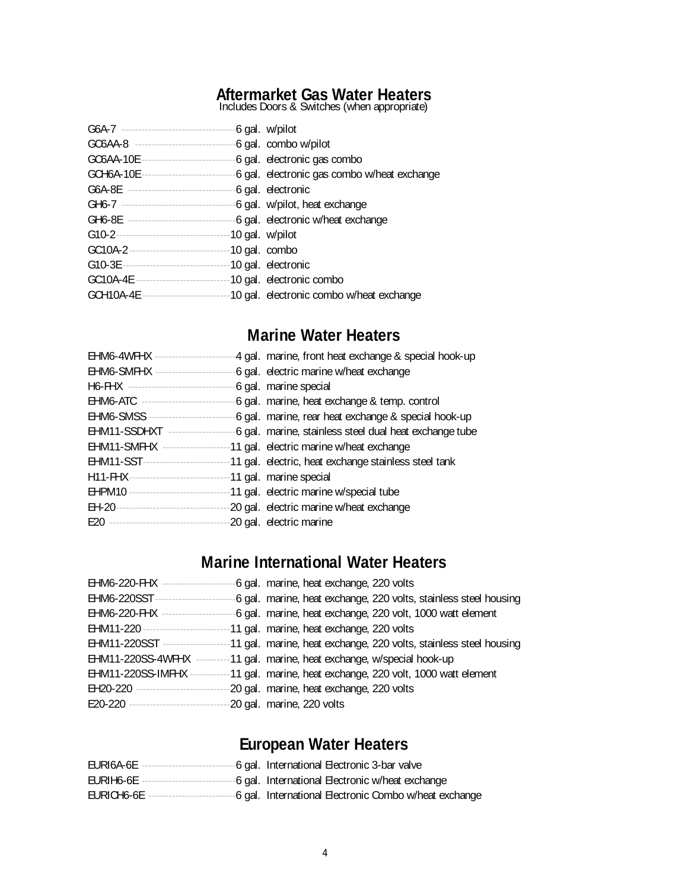# **Aftermarket Gas Water Heaters**

Includes Doors & Switches (when appropriate)

| G6A-7 ----------------------------------               | -6 gal. w/pilot              |
|--------------------------------------------------------|------------------------------|
| GC6AA-8 -----------------------------                  | -6 gal. combo w/pilot        |
| GC6AA-10E ---------------------------                  | -6 gal. electronic gas combo |
|                                                        |                              |
| G6A-8E --------------------------------                | -6 gal. electronic           |
|                                                        |                              |
|                                                        |                              |
|                                                        |                              |
| GC10A-2 ---------------------------------10 gal. combo |                              |
|                                                        |                              |
|                                                        |                              |
|                                                        |                              |

# **Marine Water Heaters**

| 4 gal. marine, front heat exchange & special hook-up   |
|--------------------------------------------------------|
| 6 gal. electric marine w/heat exchange                 |
| 6 gal. marine special                                  |
| 6 gal. marine, heat exchange & temp. control           |
| 6 gal. marine, rear heat exchange & special hook-up    |
| 6 gal. marine, stainless steel dual heat exchange tube |
| -11 gal. electric marine w/heat exchange               |
| -11 gal. electric, heat exchange stainless steel tank  |
| -11 gal. marine special                                |
| -11 gal. electric marine w/special tube                |
| -20 gal. electric marine w/heat exchange               |
| -20 gal. electric marine                               |
|                                                        |

# **Marine International Water Heaters**

| EHM6-220-FHX ------------- | -6 gal. marine, heat exchange, 220 volts                          |
|----------------------------|-------------------------------------------------------------------|
| EHM6-220SST-               | -6 gal. marine, heat exchange, 220 volts, stainless steel housing |
| <b>EHM6-220-FHX</b>        | 6 gal. marine, heat exchange, 220 volt, 1000 watt element         |
| EHM11-220 --               | 11 gal. marine, heat exchange, 220 volts                          |
| EHM11-220SST ------------- | 11 gal. marine, heat exchange, 220 volts, stainless steel housing |
| EHM11-220SS-4WFHX          | ----------11 gal. marine, heat exchange, w/special hook-up        |
| EHM11-220SS-IMFHX -        | -11 gal. marine, heat exchange, 220 volt, 1000 watt element       |
| EH20-220                   | 20 gal. marine, heat exchange, 220 volts                          |
| E20-220                    | -20 gal. marine, 220 volts                                        |

# **European Water Heaters**

| EURI6A-6E  | -6 gal. International Electronic 3-bar valve           |
|------------|--------------------------------------------------------|
| EURIH6-6E  | -6 gal. International Electronic w/heat exchange       |
| EURICH6-6E | -6 gal. International Electronic Combo w/heat exchange |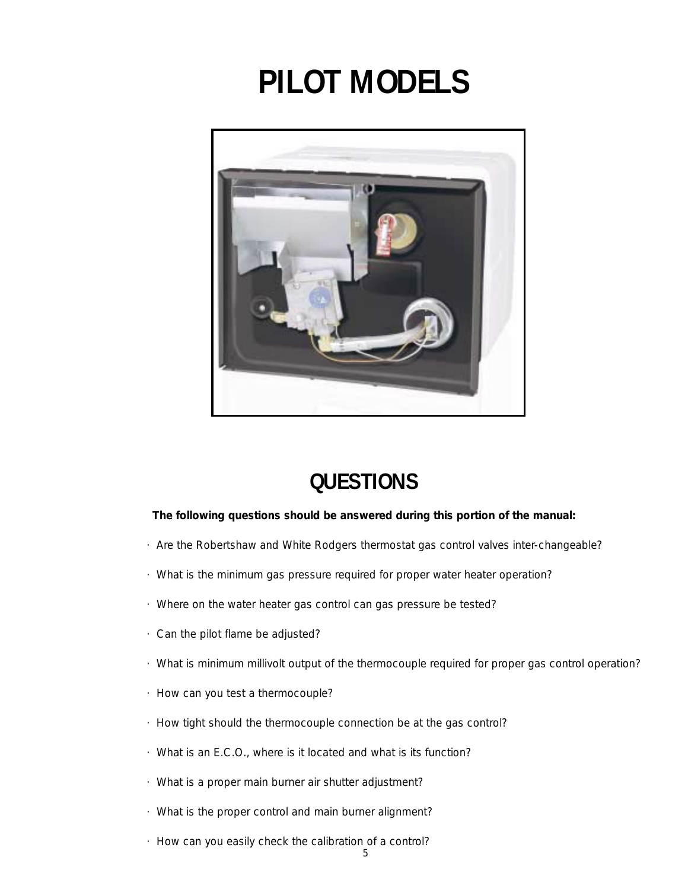# **PILOT MODELS**



# **QUESTIONS**

## **The following questions should be answered during this portion of the manual:**

- · Are the Robertshaw and White Rodgers thermostat gas control valves inter-changeable?
- · What is the minimum gas pressure required for proper water heater operation?
- · Where on the water heater gas control can gas pressure be tested?
- · Can the pilot flame be adjusted?
- · What is minimum millivolt output of the thermocouple required for proper gas control operation?
- · How can you test a thermocouple?
- · How tight should the thermocouple connection be at the gas control?
- · What is an E.C.O., where is it located and what is its function?
- · What is a proper main burner air shutter adjustment?
- · What is the proper control and main burner alignment?
- · How can you easily check the calibration of a control?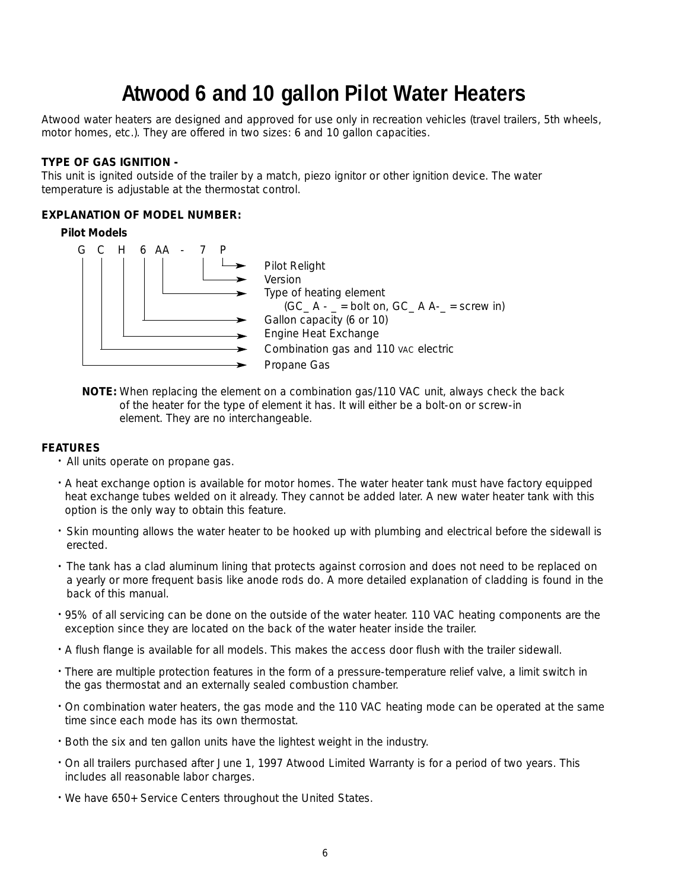# **Atwood 6 and 10 gallon Pilot Water Heaters**

Atwood water heaters are designed and approved for use only in recreation vehicles (travel trailers, 5th wheels, motor homes, etc.). They are offered in two sizes: 6 and 10 gallon capacities.

## *TYPE OF GAS IGNITION -*

This unit is ignited outside of the trailer by a match, piezo ignitor or other ignition device. The water temperature is adjustable at the thermostat control.

## **EXPLANATION OF MODEL NUMBER:**

#### **Pilot Models**



**NOTE:** When replacing the element on a combination gas/110 VAC unit, always check the back of the heater for the type of element it has. It will either be a bolt-on or screw-in element. They are no interchangeable.

#### **FEATURES**

- All units operate on propane gas.
- A heat exchange option is available for motor homes. The water heater tank must have factory equipped heat exchange tubes welded on it already. They cannot be added later. A new water heater tank with this option is the only way to obtain this feature.
- Skin mounting allows the water heater to be hooked up with plumbing and electrical before the sidewall is erected.
- The tank has a clad aluminum lining that protects against corrosion and does not need to be replaced on a yearly or more frequent basis like anode rods do. A more detailed explanation of cladding is found in the back of this manual.
- 95% of all servicing can be done on the outside of the water heater. 110 VAC heating components are the exception since they are located on the back of the water heater inside the trailer.
- A flush flange is available for all models. This makes the access door flush with the trailer sidewall.
- There are multiple protection features in the form of a pressure-temperature relief valve, a limit switch in the gas thermostat and an externally sealed combustion chamber.
- On combination water heaters, the gas mode and the 110 VAC heating mode can be operated at the same time since each mode has its own thermostat.
- Both the six and ten gallon units have the lightest weight in the industry.
- On all trailers purchased after June 1, 1997 Atwood Limited Warranty is for a period of two years. This includes all reasonable labor charges.
- We have 650+ Service Centers throughout the United States.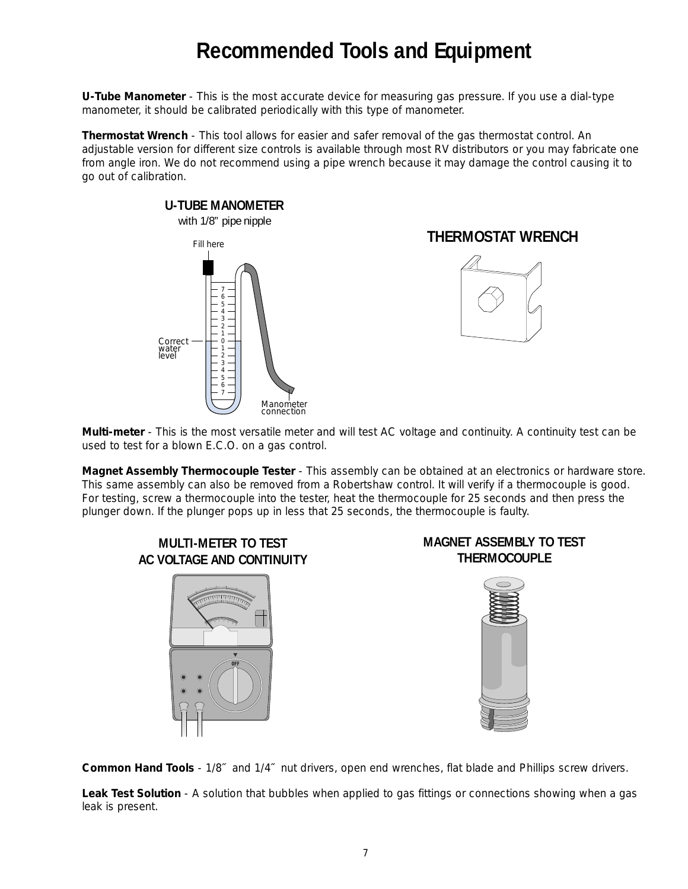# **Recommended Tools and Equipment**

**U-Tube Manometer** - This is the most accurate device for measuring gas pressure. If you use a dial-type manometer, it should be calibrated periodically with this type of manometer.

**Thermostat Wrench** - This tool allows for easier and safer removal of the gas thermostat control. An adjustable version for different size controls is available through most RV distributors or you may fabricate one from angle iron. We do not recommend using a pipe wrench because it may damage the control causing it to go out of calibration.



# **THERMOSTAT WRENCH**



**Multi-meter** - This is the most versatile meter and will test AC voltage and continuity. A continuity test can be used to test for a blown E.C.O. on a gas control.

**Magnet Assembly Thermocouple Tester** - This assembly can be obtained at an electronics or hardware store. This same assembly can also be removed from a Robertshaw control. It will verify if a thermocouple is good. For testing, screw a thermocouple into the tester, heat the thermocouple for 25 seconds and then press the plunger down. If the plunger pops up in less that 25 seconds, the thermocouple is faulty.

# **MULTI-METER TO TEST AC VOLTAGE AND CONTINUITY**



# **MAGNET ASSEMBLY TO TEST THERMOCOUPLE**



**Common Hand Tools** - 1/8˝ and 1/4˝ nut drivers, open end wrenches, flat blade and Phillips screw drivers.

**Leak Test Solution** - A solution that bubbles when applied to gas fittings or connections showing when a gas leak is present.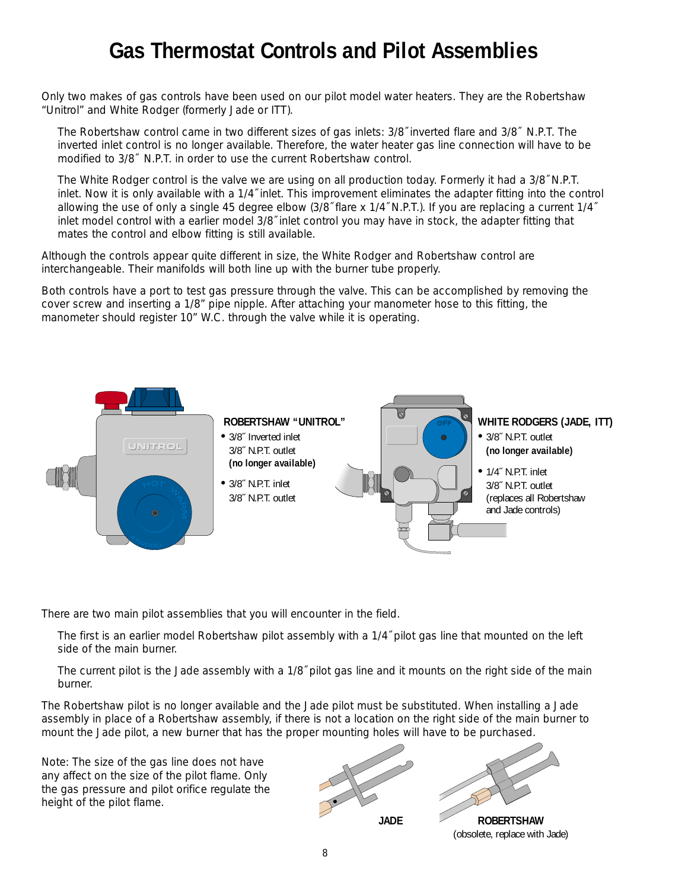# **Gas Thermostat Controls and Pilot Assemblies**

Only two makes of gas controls have been used on our pilot model water heaters. They are the Robertshaw "Unitrol" and White Rodger (formerly Jade or ITT).

The Robertshaw control came in two different sizes of gas inlets: 3/8˝ inverted flare and 3/8˝ N.P.T. The inverted inlet control is no longer available. Therefore, the water heater gas line connection will have to be modified to 3/8˝ N.P.T. in order to use the current Robertshaw control.

The White Rodger control is the valve we are using on all production today. Formerly it had a 3/8˝ N.P.T. inlet. Now it is only available with a 1/4˝ inlet. This improvement eliminates the adapter fitting into the control allowing the use of only a single 45 degree elbow (3/8˝ flare x 1/4˝ N.P.T.). If you are replacing a current 1/4˝ inlet model control with a earlier model 3/8˝ inlet control you may have in stock, the adapter fitting that mates the control and elbow fitting is still available.

Although the controls appear quite different in size, the White Rodger and Robertshaw control are interchangeable. Their manifolds will both line up with the burner tube properly.

Both controls have a port to test gas pressure through the valve. This can be accomplished by removing the cover screw and inserting a 1/8" pipe nipple. After attaching your manometer hose to this fitting, the manometer should register 10" W.C. through the valve while it is operating.



There are two main pilot assemblies that you will encounter in the field.

The first is an earlier model Robertshaw pilot assembly with a 1/4˝ pilot gas line that mounted on the left side of the main burner.

The current pilot is the Jade assembly with a 1/8˝ pilot gas line and it mounts on the right side of the main burner.

The Robertshaw pilot is no longer available and the Jade pilot must be substituted. When installing a Jade assembly in place of a Robertshaw assembly, if there is not a location on the right side of the main burner to mount the Jade pilot, a new burner that has the proper mounting holes will have to be purchased.

Note: The size of the gas line does not have any affect on the size of the pilot flame. Only the gas pressure and pilot orifice regulate the height of the pilot flame.





(obsolete, replace with Jade)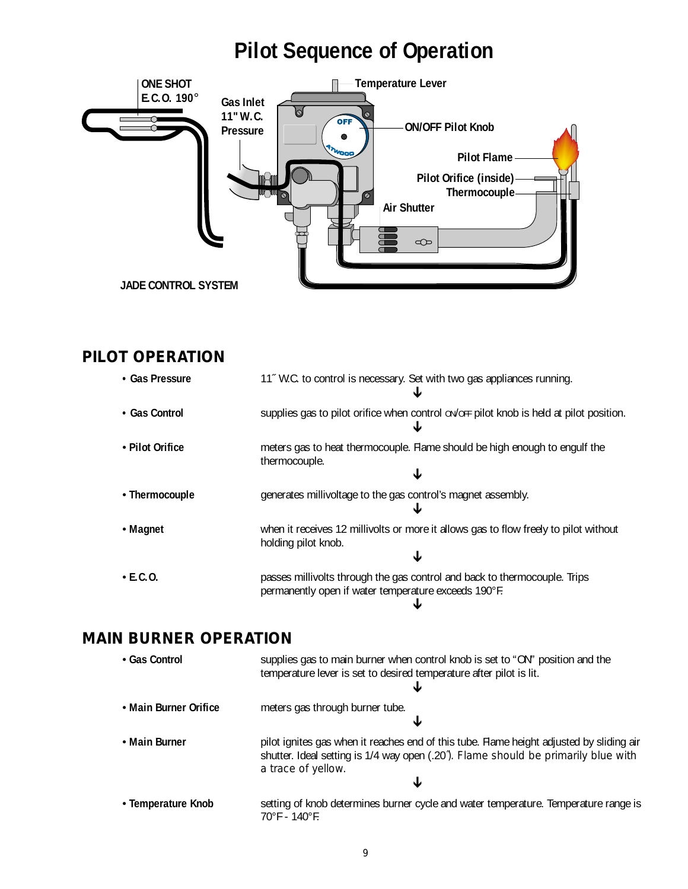# **Pilot Sequence of Operation**



# **PILOT OPERATION**

| • Gas Pressure  | 11" W.C. to control is necessary. Set with two gas appliances running.                                                            |
|-----------------|-----------------------------------------------------------------------------------------------------------------------------------|
| • Gas Control   | supplies gas to pilot orifice when control on/orr pilot knob is held at pilot position.                                           |
| • Pilot Orifice | meters gas to heat thermocouple. Flame should be high enough to engulf the<br>thermocouple.                                       |
| • Thermocouple  | generates millivoltage to the gas control's magnet assembly.                                                                      |
| • Magnet        | when it receives 12 millivolts or more it allows gas to flow freely to pilot without<br>holding pilot knob.                       |
| $\cdot$ E.C.O.  | passes millivolts through the gas control and back to thermocouple. Trips<br>permanently open if water temperature exceeds 190°F. |

# **MAIN BURNER OPERATION**

| • Gas Control         | supplies gas to main burner when control knob is set to "ON" position and the<br>temperature lever is set to desired temperature after pilot is lit.<br>w                                                 |
|-----------------------|-----------------------------------------------------------------------------------------------------------------------------------------------------------------------------------------------------------|
| • Main Burner Orifice | meters gas through burner tube.                                                                                                                                                                           |
| • Main Burner         | pilot ignites gas when it reaches end of this tube. Flame height adjusted by sliding air<br>shutter. Ideal setting is 1/4 way open (.20"). Flame should be primarily blue with<br>a trace of yellow.<br>◡ |
| • Temperature Knob    | setting of knob determines burner cycle and water temperature. Temperature range is<br>70°F - 140°F.                                                                                                      |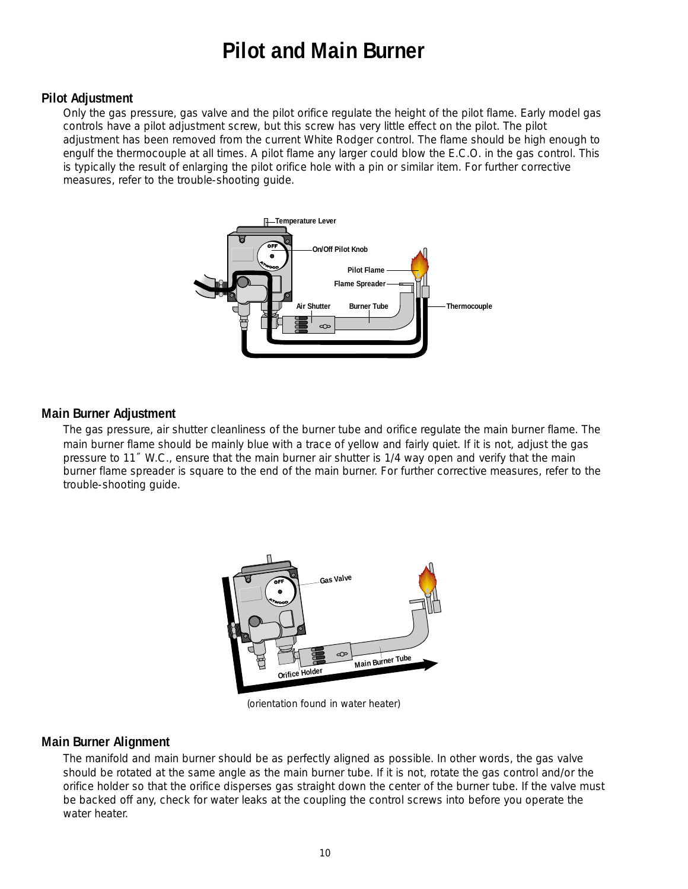# **Pilot and Main Burner**

# **Pilot Adjustment**

Only the gas pressure, gas valve and the pilot orifice regulate the height of the pilot flame. Early model gas controls have a pilot adjustment screw, but this screw has very little effect on the pilot. The pilot adjustment has been removed from the current White Rodger control. The flame should be high enough to engulf the thermocouple at all times. A pilot flame any larger could blow the E.C.O. in the gas control. This is typically the result of enlarging the pilot orifice hole with a pin or similar item. For further corrective measures, refer to the trouble-shooting guide.



## **Main Burner Adjustment**

The gas pressure, air shutter cleanliness of the burner tube and orifice regulate the main burner flame. The main burner flame should be mainly blue with a trace of yellow and fairly quiet. If it is not, adjust the gas pressure to 11<sup>°</sup> W.C., ensure that the main burner air shutter is 1/4 way open and verify that the main burner flame spreader is square to the end of the main burner. For further corrective measures, refer to the trouble-shooting guide.



(orientation found in water heater)

## **Main Burner Alignment**

The manifold and main burner should be as perfectly aligned as possible. In other words, the gas valve should be rotated at the same angle as the main burner tube. If it is not, rotate the gas control and/or the orifice holder so that the orifice disperses gas straight down the center of the burner tube. If the valve must be backed off any, check for water leaks at the coupling the control screws into before you operate the water heater.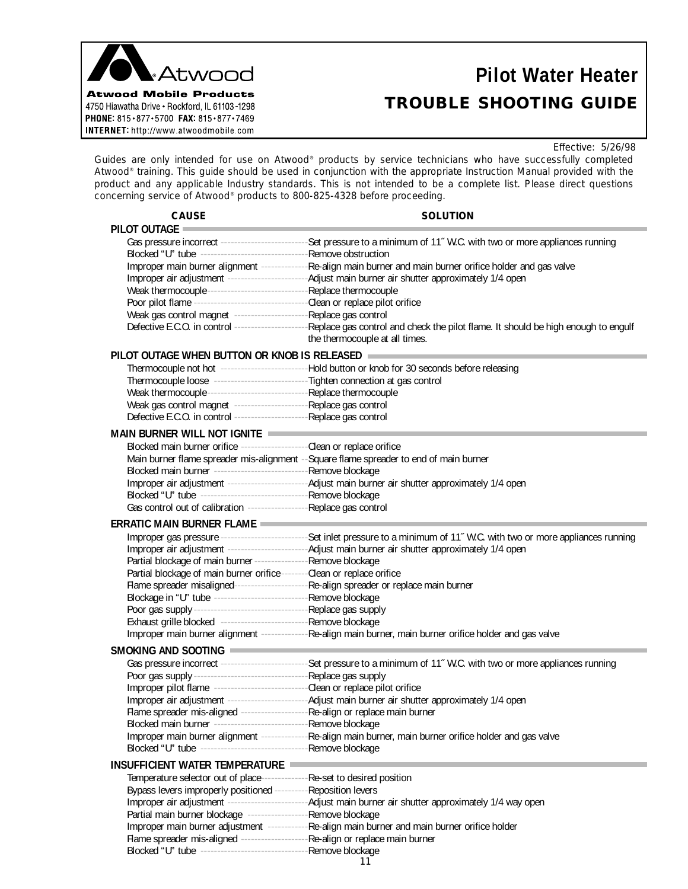

4750 Hiawatha Drive . Rockford, IL 61103-1298 PHONE: 815 . 877 . 5700 FAX: 815 . 877 . 7469 **INTERNET:** http://www.atwoodmobile.com

# **Pilot Water Heater TROUBLE SHOOTING GUIDE**

Effective: 5/26/98

Guides are only intended for use on Atwood® products by service technicians who have successfully completed Atwood® training. This guide should be used in conjunction with the appropriate Instruction Manual provided with the product and any applicable Industry standards. This is not intended to be a complete list. Please direct questions concerning service of Atwood® products to 800-825-4328 before proceeding.

| <b>CAUSE</b>                                                                                  | <b>SOLUTION</b>                                                                                                                       |
|-----------------------------------------------------------------------------------------------|---------------------------------------------------------------------------------------------------------------------------------------|
| PILOT OUTAGE                                                                                  |                                                                                                                                       |
|                                                                                               | Gas pressure incorrect ----------------------------Set pressure to a minimum of 11" W.C. with two or more appliances running          |
|                                                                                               |                                                                                                                                       |
|                                                                                               | Improper main burner alignment ---------------Re-align main burner and main burner orifice holder and gas valve                       |
|                                                                                               | Improper air adjustment -------------------------Adjust main burner air shutter approximately 1/4 open                                |
| Weak thermocouple---------------------------------- Replace thermocouple                      |                                                                                                                                       |
|                                                                                               |                                                                                                                                       |
| Weak gas control magnet ---------------------------- Replace gas control                      |                                                                                                                                       |
|                                                                                               | Defective E.C.O. in control ------------------------Replace gas control and check the pilot flame. It should be high enough to engulf |
|                                                                                               | the thermocouple at all times.                                                                                                        |
| PILOT OUTAGE WHEN BUTTON OR KNOB IS RELEASED                                                  |                                                                                                                                       |
|                                                                                               | Thermocouple not hot ----------------------------Hold button or knob for 30 seconds before releasing                                  |
| Thermocouple loose ------------------------------Tighten connection at gas control            |                                                                                                                                       |
| Weak thermocouple----------------------------------- Replace thermocouple                     |                                                                                                                                       |
| Weak gas control magnet ---------------------------- Replace gas control                      |                                                                                                                                       |
| Defective E.C.O. in control -------------------------- Replace gas control                    |                                                                                                                                       |
| MAIN BURNER WILL NOT IGNITE                                                                   |                                                                                                                                       |
| Blocked main burner orifice ----------------------Clean or replace orifice                    |                                                                                                                                       |
|                                                                                               | Main burner flame spreader mis-alignment -- Square flame spreader to end of main burner                                               |
| Blocked main burner ------------------------------- Remove blockage                           |                                                                                                                                       |
|                                                                                               | Improper air adjustment --------------------------Adjust main burner air shutter approximately 1/4 open                               |
|                                                                                               |                                                                                                                                       |
| Gas control out of calibration --------------------- Replace gas control                      |                                                                                                                                       |
| <b>ERRATIC MAIN BURNER FLAME</b>                                                              |                                                                                                                                       |
|                                                                                               | Improper gas pressure ---------------------------Set inlet pressure to a minimum of 11" W.C. with two or more appliances running      |
|                                                                                               | Improper air adjustment --------------------------Adjust main burner air shutter approximately 1/4 open                               |
| Partial blockage of main burner ------------------Remove blockage                             |                                                                                                                                       |
| Partial blockage of main burner orifice -------- Clean or replace orifice                     |                                                                                                                                       |
| Flame spreader misaligned----------------------------Re-align spreader or replace main burner |                                                                                                                                       |
| Blockage in "U" tube -------------------------------- Remove blockage                         |                                                                                                                                       |
|                                                                                               |                                                                                                                                       |
| Exhaust grille blocked ----------------------------- Remove blockage                          |                                                                                                                                       |
|                                                                                               | Improper main burner alignment ---------------Re-align main burner, main burner orifice holder and gas valve                          |
| SMOKING AND SOOTING                                                                           |                                                                                                                                       |
|                                                                                               | Gas pressure incorrect ----------------------------Set pressure to a minimum of 11" W.C. with two or more appliances running          |
|                                                                                               |                                                                                                                                       |
| Improper pilot flame -------------------------------Clean or replace pilot orifice            |                                                                                                                                       |
|                                                                                               | Improper air adjustment ------------------------Adjust main burner air shutter approximately 1/4 open                                 |
|                                                                                               | Flame spreader mis-aligned ---------------------Re-align or replace main burner                                                       |
| Blocked main burner -------------------------------- Remove blockage                          |                                                                                                                                       |
|                                                                                               | Improper main burner alignment ---------------Re-align main burner, main burner orifice holder and gas valve                          |
|                                                                                               |                                                                                                                                       |
| INSUFFICIENT WATER TEMPERATURE                                                                |                                                                                                                                       |
| Temperature selector out of place--------------- Re-set to desired position                   |                                                                                                                                       |
| Bypass levers improperly positioned ----------Reposition levers                               |                                                                                                                                       |
|                                                                                               | Improper air adjustment -----------------------------Adjust main burner air shutter approximately 1/4 way open                        |
| Partial main burner blockage ---------------------Remove blockage                             |                                                                                                                                       |
|                                                                                               | Improper main burner adjustment -------------Re-align main burner and main burner orifice holder                                      |
| Flame spreader mis-aligned -------------------------Re-align or replace main burner           |                                                                                                                                       |
|                                                                                               |                                                                                                                                       |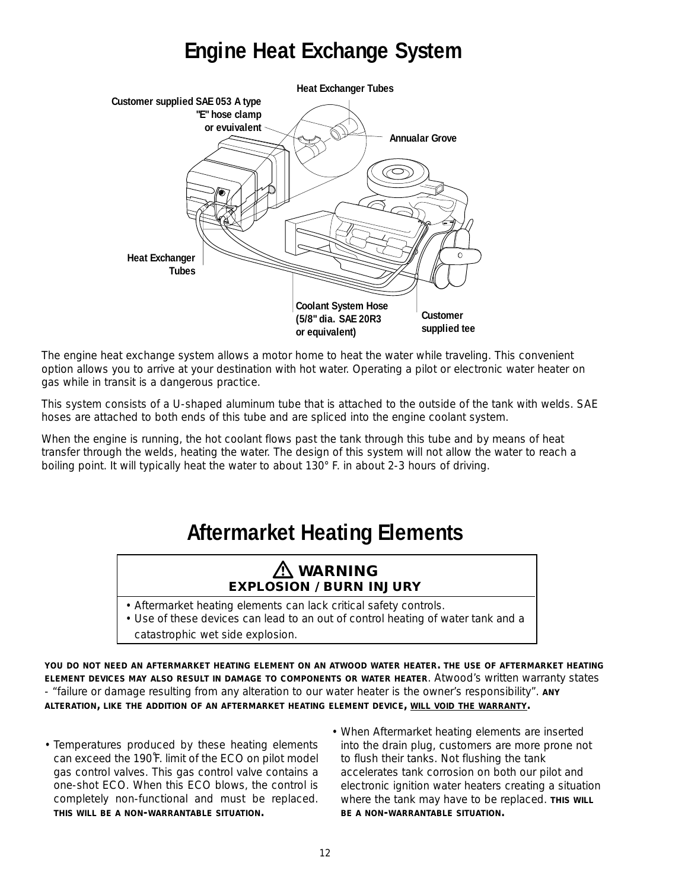# **Engine Heat Exchange System**



The engine heat exchange system allows a motor home to heat the water while traveling. This convenient option allows you to arrive at your destination with hot water. Operating a pilot or electronic water heater on gas while in transit is a dangerous practice.

This system consists of a U-shaped aluminum tube that is attached to the outside of the tank with welds. SAE hoses are attached to both ends of this tube and are spliced into the engine coolant system.

When the engine is running, the hot coolant flows past the tank through this tube and by means of heat transfer through the welds, heating the water. The design of this system will not allow the water to reach a boiling point. It will typically heat the water to about 130° F. in about 2-3 hours of driving.

# **Aftermarket Heating Elements**

# **WARNING EXPLOSION / BURN INJURY**

- Aftermarket heating elements can lack critical safety controls.
- Use of these devices can lead to an out of control heating of water tank and a catastrophic wet side explosion.

**YOU DO NOT NEED AN AFTERMARKET HEATING ELEMENT ON AN ATWOOD WATER HEATER. THE USE OF AFTERMARKET HEATING ELEMENT DEVICES MAY ALSO RESULT IN DAMAGE TO COMPONENTS OR WATER HEATER**. Atwood's written warranty states - "failure or damage resulting from any alteration to our water heater is the owner's responsibility". **ANY ALTERATION, LIKE THE ADDITION OF AN AFTERMARKET HEATING ELEMENT DEVICE, WILL VOID THE WARRANTY.**

- Temperatures produced by these heating elements can exceed the 190˚F. limit of the ECO on pilot model gas control valves. This gas control valve contains a one-shot ECO. When this ECO blows, the control is completely non-functional and must be replaced. **THIS WILL BE A NON-WARRANTABLE SITUATION.**
- When Aftermarket heating elements are inserted into the drain plug, customers are more prone not to flush their tanks. Not flushing the tank accelerates tank corrosion on both our pilot and electronic ignition water heaters creating a situation where the tank may have to be replaced. This will **BE A NON-WARRANTABLE SITUATION.**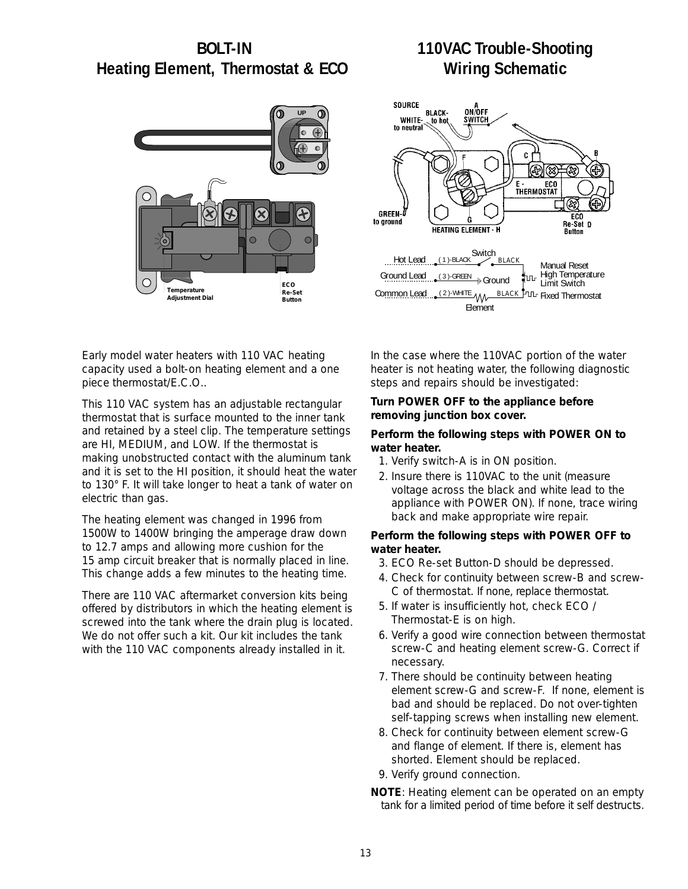# **BOLT-IN Heating Element, Thermostat & ECO**



# **110VAC Trouble-Shooting Wiring Schematic**



Early model water heaters with 110 VAC heating capacity used a bolt-on heating element and a one piece thermostat/E.C.O..

This 110 VAC system has an adjustable rectangular thermostat that is surface mounted to the inner tank and retained by a steel clip. The temperature settings are HI, MEDIUM, and LOW. If the thermostat is making unobstructed contact with the aluminum tank and it is set to the HI position, it should heat the water to 130° F. It will take longer to heat a tank of water on electric than gas.

The heating element was changed in 1996 from 1500W to 1400W bringing the amperage draw down to 12.7 amps and allowing more cushion for the 15 amp circuit breaker that is normally placed in line. This change adds a few minutes to the heating time.

There are 110 VAC aftermarket conversion kits being offered by distributors in which the heating element is screwed into the tank where the drain plug is located. We do not offer such a kit. Our kit includes the tank with the 110 VAC components already installed in it.

In the case where the 110VAC portion of the water heater is not heating water, the following diagnostic steps and repairs should be investigated:

#### **Turn POWER OFF to the appliance before removing junction box cover.**

## **Perform the following steps with POWER ON to water heater.**

- 1. Verify switch-A is in ON position.
- 2. Insure there is 110VAC to the unit (measure voltage across the black and white lead to the appliance with POWER ON). If none, trace wiring back and make appropriate wire repair.

## **Perform the following steps with POWER OFF to water heater.**

- 3. ECO Re-set Button-D should be depressed.
- 4. Check for continuity between screw-B and screw-C of thermostat. If none, replace thermostat.
- 5. If water is insufficiently hot, check ECO / Thermostat-E is on high.
- 6. Verify a good wire connection between thermostat screw-C and heating element screw-G. Correct if necessary.
- 7. There should be continuity between heating element screw-G and screw-F. If none, element is bad and should be replaced. Do not over-tighten self-tapping screws when installing new element.
- 8. Check for continuity between element screw-G and flange of element. If there is, element has shorted. Element should be replaced.
- 9. Verify ground connection.

**NOTE**: Heating element can be operated on an empty tank for a limited period of time before it self destructs.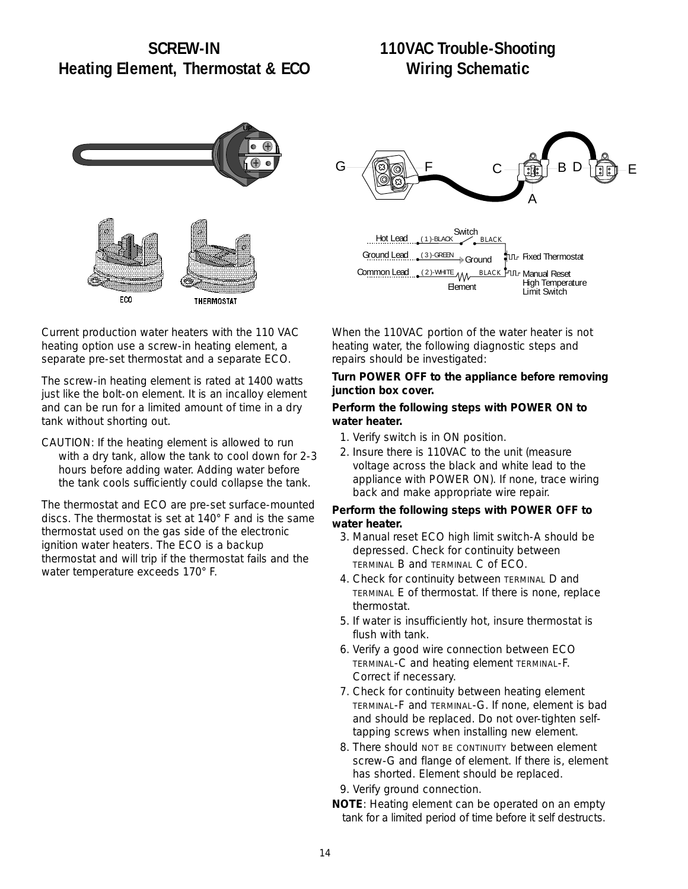# **SCREW-IN Heating Element, Thermostat & ECO**

# **110VAC Trouble-Shooting Wiring Schematic**



 $G \rightarrow \text{C} \rightarrow \text{F}$  c  $\rightarrow \text{F}$   $B$  d  $\rightarrow \text{F}$ A



Current production water heaters with the 110 VAC heating option use a screw-in heating element, a separate pre-set thermostat and a separate ECO.

The screw-in heating element is rated at 1400 watts just like the bolt-on element. It is an incalloy element and can be run for a limited amount of time in a dry tank without shorting out.

CAUTION: If the heating element is allowed to run with a dry tank, allow the tank to cool down for 2-3 hours before adding water. Adding water before the tank cools sufficiently could collapse the tank.

The thermostat and ECO are pre-set surface-mounted discs. The thermostat is set at 140° F and is the same thermostat used on the gas side of the electronic ignition water heaters. The ECO is a backup thermostat and will trip if the thermostat fails and the water temperature exceeds 170° F.

When the 110VAC portion of the water heater is not heating water, the following diagnostic steps and repairs should be investigated:

## **Turn POWER OFF to the appliance before removing junction box cover.**

#### **Perform the following steps with POWER ON to water heater.**

- 1. Verify switch is in ON position.
- 2. Insure there is 110VAC to the unit (measure voltage across the black and white lead to the appliance with POWER ON). If none, trace wiring back and make appropriate wire repair.

## **Perform the following steps with POWER OFF to water heater.**

- 3. Manual reset ECO high limit switch-A should be depressed. Check for continuity between TERMINAL B and TERMINAL C of ECO.
- 4. Check for continuity between TERMINAL D and TERMINAL E of thermostat. If there is none, replace thermostat.
- 5. If water is insufficiently hot, insure thermostat is flush with tank.
- 6. Verify a good wire connection between ECO TERMINAL-C and heating element TERMINAL-F. Correct if necessary.
- 7. Check for continuity between heating element TERMINAL-F and TERMINAL-G. If none, element is bad and should be replaced. Do not over-tighten selftapping screws when installing new element.
- 8. There should NOT BE CONTINUITY between element screw-G and flange of element. If there is, element has shorted. Element should be replaced.
- 9. Verify ground connection.
- **NOTE**: Heating element can be operated on an empty tank for a limited period of time before it self destructs.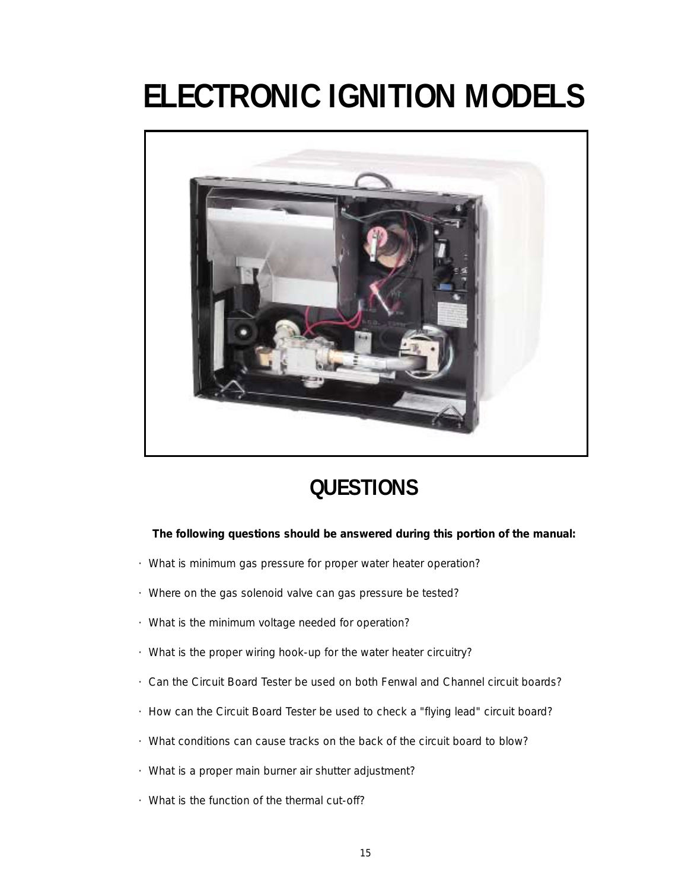# **ELECTRONIC IGNITION MODELS**



# **QUESTIONS**

# **The following questions should be answered during this portion of the manual:**

- · What is minimum gas pressure for proper water heater operation?
- · Where on the gas solenoid valve can gas pressure be tested?
- · What is the minimum voltage needed for operation?
- · What is the proper wiring hook-up for the water heater circuitry?
- · Can the Circuit Board Tester be used on both Fenwal and Channel circuit boards?
- · How can the Circuit Board Tester be used to check a "flying lead" circuit board?
- · What conditions can cause tracks on the back of the circuit board to blow?
- · What is a proper main burner air shutter adjustment?
- · What is the function of the thermal cut-off?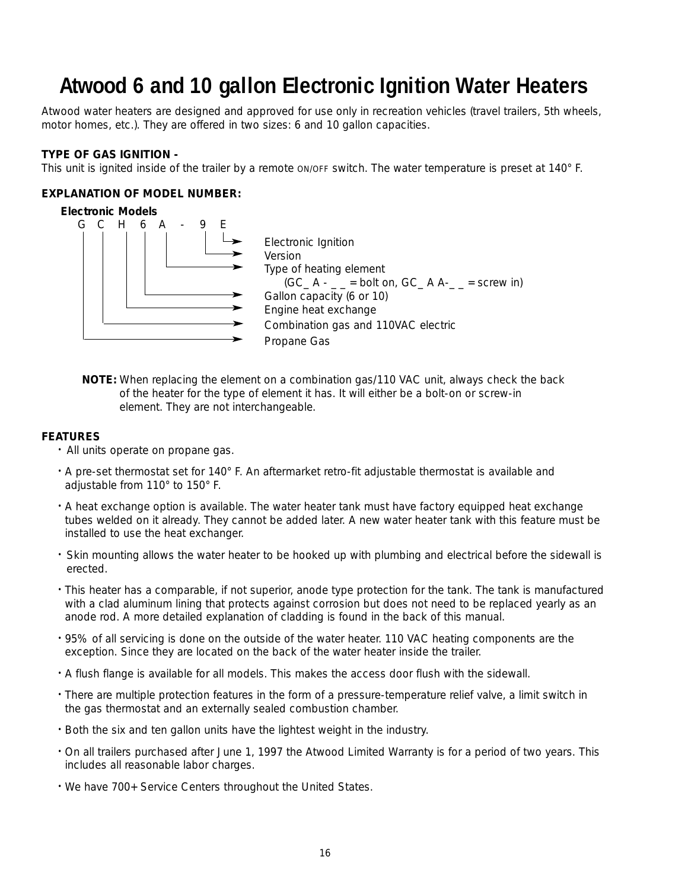# **Atwood 6 and 10 gallon Electronic Ignition Water Heaters**

Atwood water heaters are designed and approved for use only in recreation vehicles (travel trailers, 5th wheels, motor homes, etc.). They are offered in two sizes: 6 and 10 gallon capacities.

## *TYPE OF GAS IGNITION -*

This unit is ignited inside of the trailer by a remote ON/OFF switch. The water temperature is preset at 140° F.

## **EXPLANATION OF MODEL NUMBER:**



**NOTE:** When replacing the element on a combination gas/110 VAC unit, always check the back of the heater for the type of element it has. It will either be a bolt-on or screw-in element. They are not interchangeable.

#### **FEATURES**

- All units operate on propane gas.
- A pre-set thermostat set for 140° F. An aftermarket retro-fit adjustable thermostat is available and adjustable from 110° to 150° F.
- A heat exchange option is available. The water heater tank must have factory equipped heat exchange tubes welded on it already. They cannot be added later. A new water heater tank with this feature must be installed to use the heat exchanger.
- Skin mounting allows the water heater to be hooked up with plumbing and electrical before the sidewall is erected.
- This heater has a comparable, if not superior, anode type protection for the tank. The tank is manufactured with a clad aluminum lining that protects against corrosion but does not need to be replaced yearly as an anode rod. A more detailed explanation of cladding is found in the back of this manual.
- 95% of all servicing is done on the outside of the water heater. 110 VAC heating components are the exception. Since they are located on the back of the water heater inside the trailer.
- A flush flange is available for all models. This makes the access door flush with the sidewall.
- There are multiple protection features in the form of a pressure-temperature relief valve, a limit switch in the gas thermostat and an externally sealed combustion chamber.
- Both the six and ten gallon units have the lightest weight in the industry.
- On all trailers purchased after June 1, 1997 the Atwood Limited Warranty is for a period of two years. This includes all reasonable labor charges.
- We have 700+ Service Centers throughout the United States.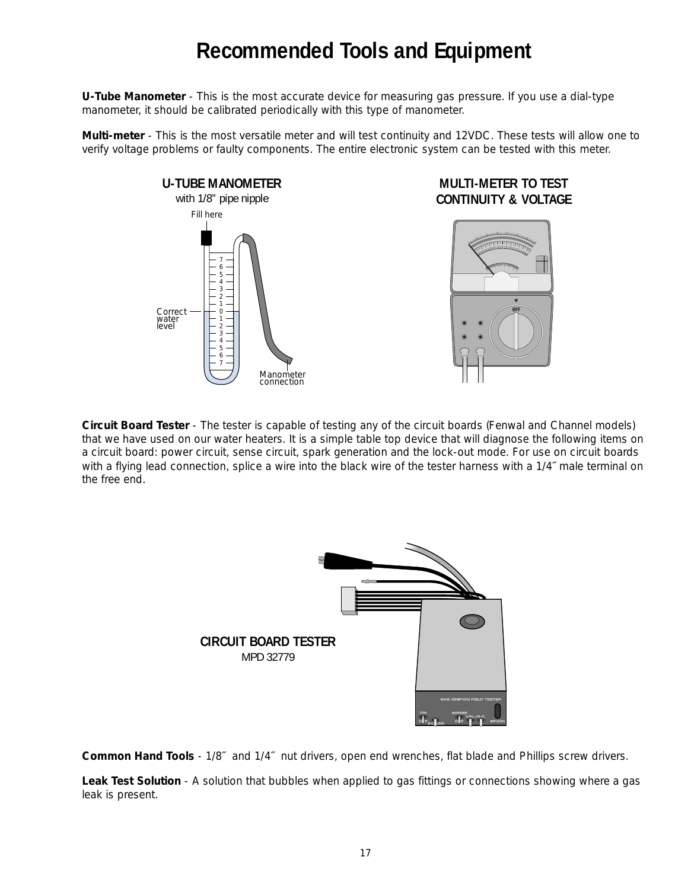# **Recommended Tools and Equipment**

**U-Tube Manometer** - This is the most accurate device for measuring gas pressure. If you use a dial-type manometer, it should be calibrated periodically with this type of manometer.

**Multi-meter** - This is the most versatile meter and will test continuity and 12VDC. These tests will allow one to verify voltage problems or faulty components. The entire electronic system can be tested with this meter.



# **MULTI-METER TO TEST CONTINUITY & VOLTAGE**



**Circuit Board Tester** - The tester is capable of testing any of the circuit boards (Fenwal and Channel models) that we have used on our water heaters. It is a simple table top device that will diagnose the following items on a circuit board: power circuit, sense circuit, spark generation and the lock-out mode. For use on circuit boards with a flying lead connection, splice a wire into the black wire of the tester harness with a 1/4" male terminal on the free end.



**Common Hand Tools** - 1/8˝ and 1/4˝ nut drivers, open end wrenches, flat blade and Phillips screw drivers.

**Leak Test Solution** - A solution that bubbles when applied to gas fittings or connections showing where a gas leak is present.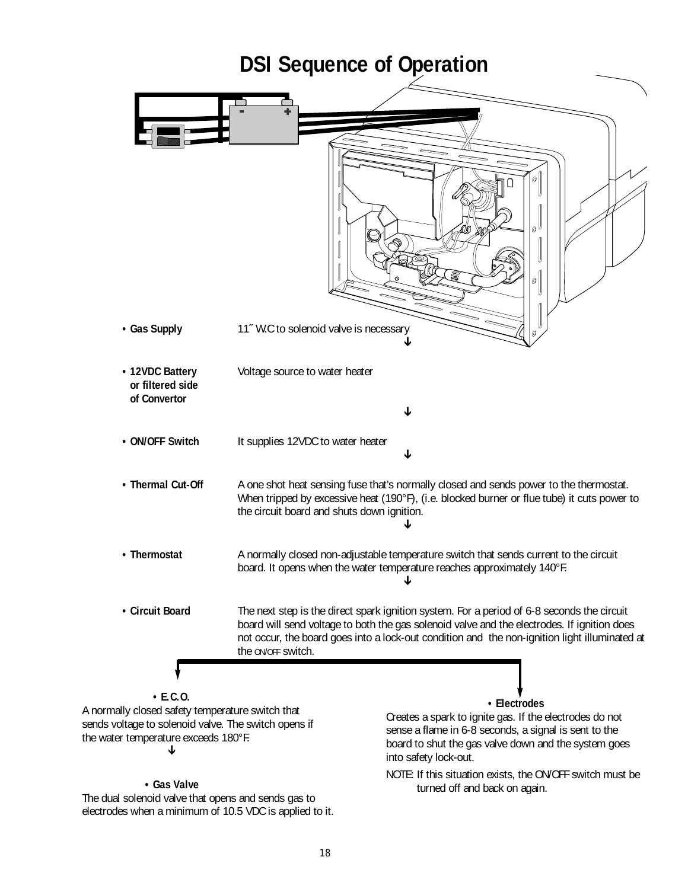# **DSI Sequence of Operation**

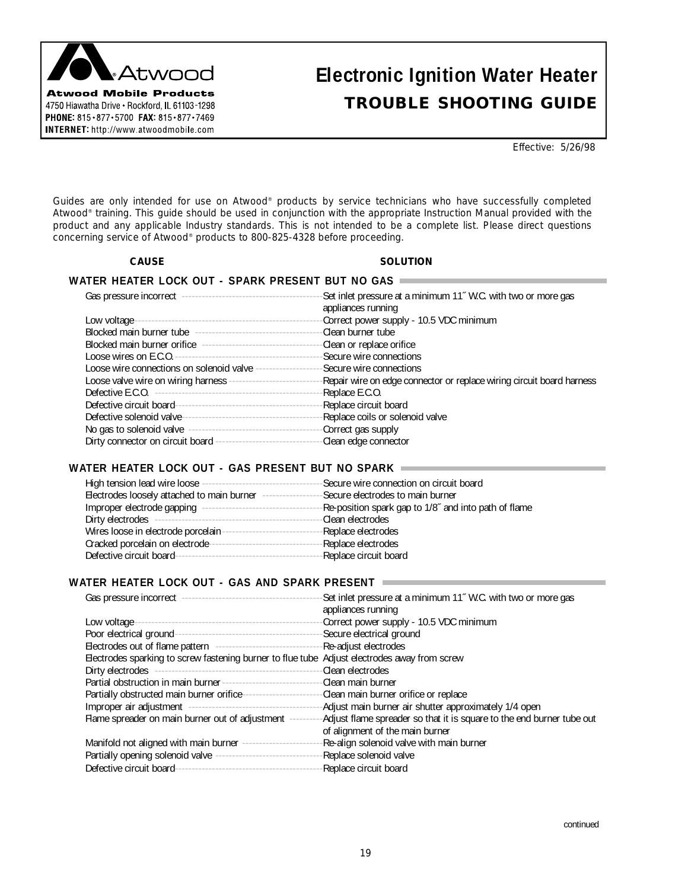

# **Electronic Ignition Water Heater TROUBLE SHOOTING GUIDE**

Effective: 5/26/98

Guides are only intended for use on Atwood® products by service technicians who have successfully completed Atwood® training. This guide should be used in conjunction with the appropriate Instruction Manual provided with the product and any applicable Industry standards. This is not intended to be a complete list. Please direct questions concerning service of Atwood® products to 800-825-4328 before proceeding.

#### **CAUSE SOLUTION**

#### **WATER HEATER LOCK OUT - SPARK PRESENT BUT NO GAS**

|                                                                 | -Set inlet pressure at a minimum 11" W.C. with two or more gas<br>appliances running |
|-----------------------------------------------------------------|--------------------------------------------------------------------------------------|
|                                                                 | Correct power supply - 10.5 VDC minimum                                              |
|                                                                 | -Clean burner tube                                                                   |
| Blocked main burner orifice ----------------------------------- | -Clean or replace orifice                                                            |
|                                                                 | -Secure wire connections                                                             |
| Loose wire connections on solenoid valve ------------------     | -Secure wire connections                                                             |
| Loose valve wire on wiring harness -----------------------      | Repair wire on edge connector or replace wiring circuit board harness                |
|                                                                 | -Replace E.C.O.                                                                      |
|                                                                 | Replace circuit board                                                                |
|                                                                 | -Replace coils or solenoid valve                                                     |
|                                                                 | -Correct gas supply                                                                  |
| Dirty connector on circuit board ----------------------------   | Clean edge connector                                                                 |

#### **WATER HEATER LOCK OUT - GAS PRESENT BUT NO SPARK**

| High tension lead wire loose --            | -Secure wire connection on circuit board             |
|--------------------------------------------|------------------------------------------------------|
| Electrodes loosely attached to main burner | -Secure electrodes to main burner                    |
| Improper electrode gapping --              | Re-position spark gap to 1/8" and into path of flame |
| Dirty electrodes                           | -Clean electrodes                                    |
| Wires loose in electrode porcelain         | Replace electrodes                                   |
| Cracked porcelain on electrode-            | -Replace electrodes                                  |
| Defective circuit board-                   | Replace circuit board                                |

## **WATER HEATER LOCK OUT - GAS AND SPARK PRESENT**

|                                                                                  | -Set inlet pressure at a minimum 11" W.C. with two or more gas         |
|----------------------------------------------------------------------------------|------------------------------------------------------------------------|
|                                                                                  | appliances running                                                     |
| Low voltage--                                                                    | -Correct power supply - 10.5 VDC minimum                               |
|                                                                                  | Secure electrical ground                                               |
| Electrodes out of flame pattern ------------------------------                   | -Re-adjust electrodes                                                  |
| Electrodes sparking to screw fastening burner to flue tube                       | Adjust electrodes away from screw                                      |
|                                                                                  | -Clean electrodes                                                      |
| Partial obstruction in main burner ----------------------------Clean main burner |                                                                        |
| Partially obstructed main burner orifice----------------------                   | -Clean main burner orifice or replace                                  |
|                                                                                  | -Adjust main burner air shutter approximately 1/4 open                 |
| Flame spreader on main burner out of adjustment ------                           | -Adjust flame spreader so that it is square to the end burner tube out |
|                                                                                  | of alignment of the main burner                                        |
| Manifold not aligned with main burner -------------------                        | Re-align solenoid valve with main burner                               |
| Partially opening solenoid valve -----------------------------                   | -Replace solenoid valve                                                |
|                                                                                  | Replace circuit board                                                  |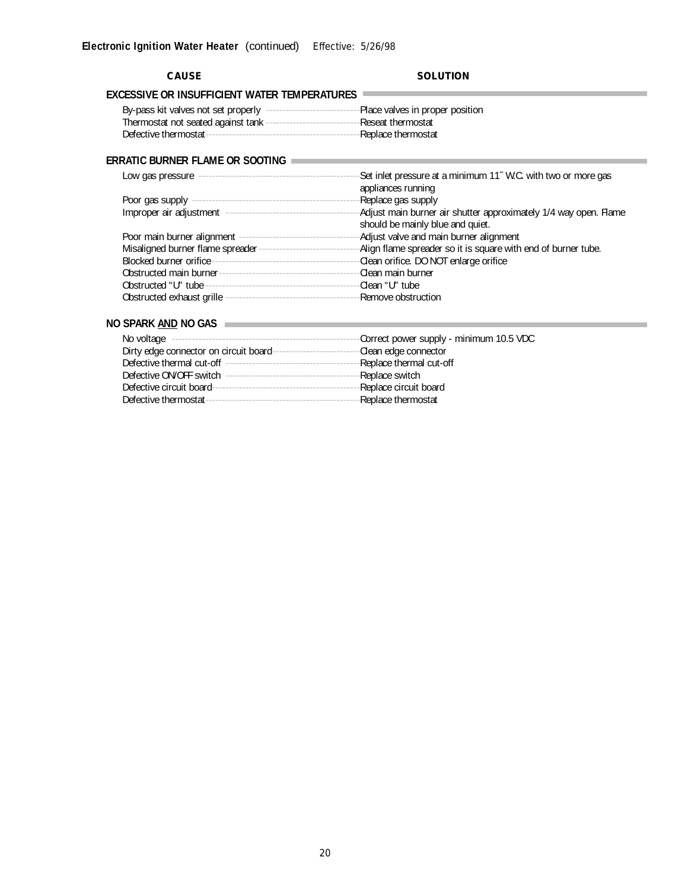| <b>CAUSE</b>                                                                          | <b>SOLUTION</b>                                                                                       |
|---------------------------------------------------------------------------------------|-------------------------------------------------------------------------------------------------------|
| EXCESSIVE OR INSUFFICIENT WATER TEMPERATURES                                          |                                                                                                       |
| By-pass kit valves not set properly ----------------------------                      | -Place valves in proper position                                                                      |
| Thermostat not seated against tank ---------------------------------Reseat thermostat |                                                                                                       |
|                                                                                       | -Replace thermostat                                                                                   |
| ERRATIC BURNER FLAME OR SOOTING                                                       |                                                                                                       |
|                                                                                       | -Set inlet pressure at a minimum 11" W.C. with two or more gas<br>appliances running                  |
|                                                                                       | -Replace gas supply                                                                                   |
|                                                                                       | -Adjust main burner air shutter approximately 1/4 way open. Flame<br>should be mainly blue and quiet. |
| Poor main burner alignment ---------------------------------                          | -Adjust valve and main burner alignment                                                               |
| Misaligned burner flame spreader ----------------------------                         | -Align flame spreader so it is square with end of burner tube.                                        |
|                                                                                       | -Clean orifice. DO NOT enlarge orifice                                                                |
|                                                                                       |                                                                                                       |
|                                                                                       |                                                                                                       |
|                                                                                       |                                                                                                       |
|                                                                                       |                                                                                                       |

# **NO SPARK AND NO GAS**

|                                                             | Correct power supply - minimum 10.5 VDC |
|-------------------------------------------------------------|-----------------------------------------|
| Dirty edge connector on circuit board-                      | Clean edge connector                    |
| Defective thermal cut-off --------------------------------- | -Replace thermal cut-off                |
| Defective ON/OFF switch                                     | Replace switch                          |
| Defective circuit board-                                    | Replace circuit board                   |
| Defective thermostat-                                       | Replace thermostat                      |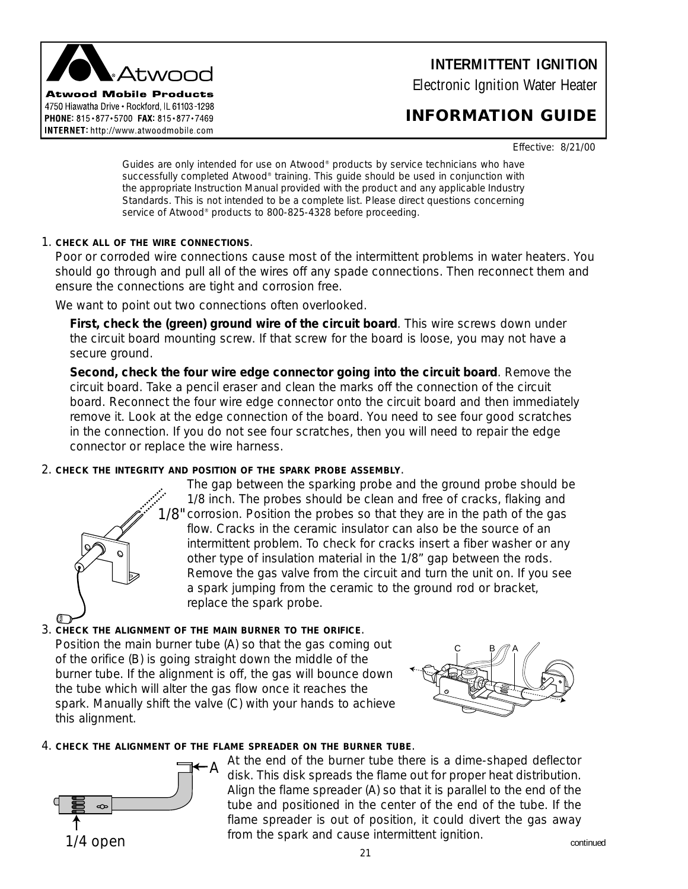

# **INTERMITTENT IGNITION**

Electronic Ignition Water Heater

# **INFORMATION GUIDE**

Effective: 8/21/00

Guides are only intended for use on Atwood® products by service technicians who have successfully completed Atwood® training. This guide should be used in conjunction with the appropriate Instruction Manual provided with the product and any applicable Industry Standards. This is not intended to be a complete list. Please direct questions concerning service of Atwood® products to 800-825-4328 before proceeding.

## 1. **CHECK ALL OF THE WIRE CONNECTIONS**.

Poor or corroded wire connections cause most of the intermittent problems in water heaters. You should go through and pull all of the wires off any spade connections. Then reconnect them and ensure the connections are tight and corrosion free.

We want to point out two connections often overlooked.

**First, check the (green) ground wire of the circuit board**. This wire screws down under the circuit board mounting screw. If that screw for the board is loose, you may not have a secure ground.

**Second, check the four wire edge connector going into the circuit board**. Remove the circuit board. Take a pencil eraser and clean the marks off the connection of the circuit board. Reconnect the four wire edge connector onto the circuit board and then immediately remove it. Look at the edge connection of the board. You need to see four good scratches in the connection. If you do not see four scratches, then you will need to repair the edge connector or replace the wire harness.

# 2. **CHECK THE INTEGRITY AND POSITION OF THE SPARK PROBE ASSEMBLY**.

The gap between the sparking probe and the ground probe should be 1/8 inch. The probes should be clean and free of cracks, flaking and 1/8" corrosion. Position the probes so that they are in the path of the gas flow. Cracks in the ceramic insulator can also be the source of an intermittent problem. To check for cracks insert a fiber washer or any other type of insulation material in the 1/8" gap between the rods. Remove the gas valve from the circuit and turn the unit on. If you see a spark jumping from the ceramic to the ground rod or bracket, replace the spark probe.

## $\sigma$ 3. **CHECK THE ALIGNMENT OF THE MAIN BURNER TO THE ORIFICE**.

Position the main burner tube (A) so that the gas coming out of the orifice (B) is going straight down the middle of the burner tube. If the alignment is off, the gas will bounce down the tube which will alter the gas flow once it reaches the spark. Manually shift the valve (C) with your hands to achieve this alignment.



# 4. **CHECK THE ALIGNMENT OF THE FLAME SPREADER ON THE BURNER TUBE**.

A



At the end of the burner tube there is a dime-shaped deflector disk. This disk spreads the flame out for proper heat distribution. Align the flame spreader (A) so that it is parallel to the end of the tube and positioned in the center of the end of the tube. If the flame spreader is out of position, it could divert the gas away from the spark and cause intermittent ignition.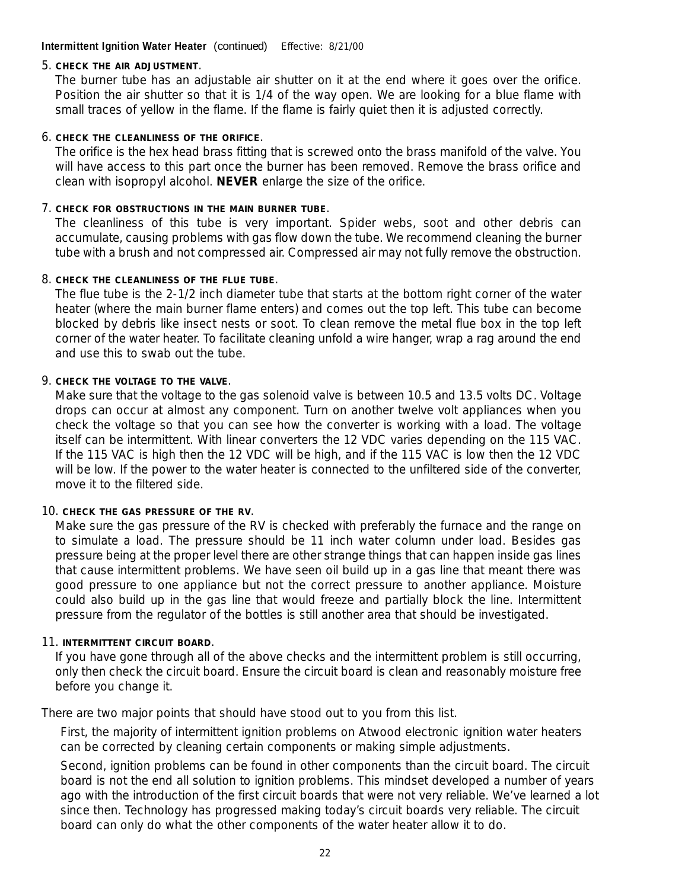## **Intermittent Ignition Water Heater** (continued) Effective: 8/21/00

## 5. **CHECK THE AIR ADJUSTMENT**.

The burner tube has an adjustable air shutter on it at the end where it goes over the orifice. Position the air shutter so that it is 1/4 of the way open. We are looking for a blue flame with small traces of yellow in the flame. If the flame is fairly quiet then it is adjusted correctly.

## 6. **CHECK THE CLEANLINESS OF THE ORIFICE**.

The orifice is the hex head brass fitting that is screwed onto the brass manifold of the valve. You will have access to this part once the burner has been removed. Remove the brass orifice and clean with isopropyl alcohol. **NEVER** enlarge the size of the orifice.

## 7. **CHECK FOR OBSTRUCTIONS IN THE MAIN BURNER TUBE**.

The cleanliness of this tube is very important. Spider webs, soot and other debris can accumulate, causing problems with gas flow down the tube. We recommend cleaning the burner tube with a brush and not compressed air. Compressed air may not fully remove the obstruction.

## 8. **CHECK THE CLEANLINESS OF THE FLUE TUBE**.

The flue tube is the 2-1/2 inch diameter tube that starts at the bottom right corner of the water heater (where the main burner flame enters) and comes out the top left. This tube can become blocked by debris like insect nests or soot. To clean remove the metal flue box in the top left corner of the water heater. To facilitate cleaning unfold a wire hanger, wrap a rag around the end and use this to swab out the tube.

# 9. **CHECK THE VOLTAGE TO THE VALVE**.

Make sure that the voltage to the gas solenoid valve is between 10.5 and 13.5 volts DC. Voltage drops can occur at almost any component. Turn on another twelve volt appliances when you check the voltage so that you can see how the converter is working with a load. The voltage itself can be intermittent. With linear converters the 12 VDC varies depending on the 115 VAC. If the 115 VAC is high then the 12 VDC will be high, and if the 115 VAC is low then the 12 VDC will be low. If the power to the water heater is connected to the unfiltered side of the converter, move it to the filtered side.

## 10. **CHECK THE GAS PRESSURE OF THE RV**.

Make sure the gas pressure of the RV is checked with preferably the furnace and the range on to simulate a load. The pressure should be 11 inch water column under load. Besides gas pressure being at the proper level there are other strange things that can happen inside gas lines that cause intermittent problems. We have seen oil build up in a gas line that meant there was good pressure to one appliance but not the correct pressure to another appliance. Moisture could also build up in the gas line that would freeze and partially block the line. Intermittent pressure from the regulator of the bottles is still another area that should be investigated.

# 11. **INTERMITTENT CIRCUIT BOARD**.

If you have gone through all of the above checks and the intermittent problem is still occurring, only then check the circuit board. Ensure the circuit board is clean and reasonably moisture free before you change it.

There are two major points that should have stood out to you from this list.

First, the majority of intermittent ignition problems on Atwood electronic ignition water heaters can be corrected by cleaning certain components or making simple adjustments.

Second, ignition problems can be found in other components than the circuit board. The circuit board is not the end all solution to ignition problems. This mindset developed a number of years ago with the introduction of the first circuit boards that were not very reliable. We've learned a lot since then. Technology has progressed making today's circuit boards very reliable. The circuit board can only do what the other components of the water heater allow it to do.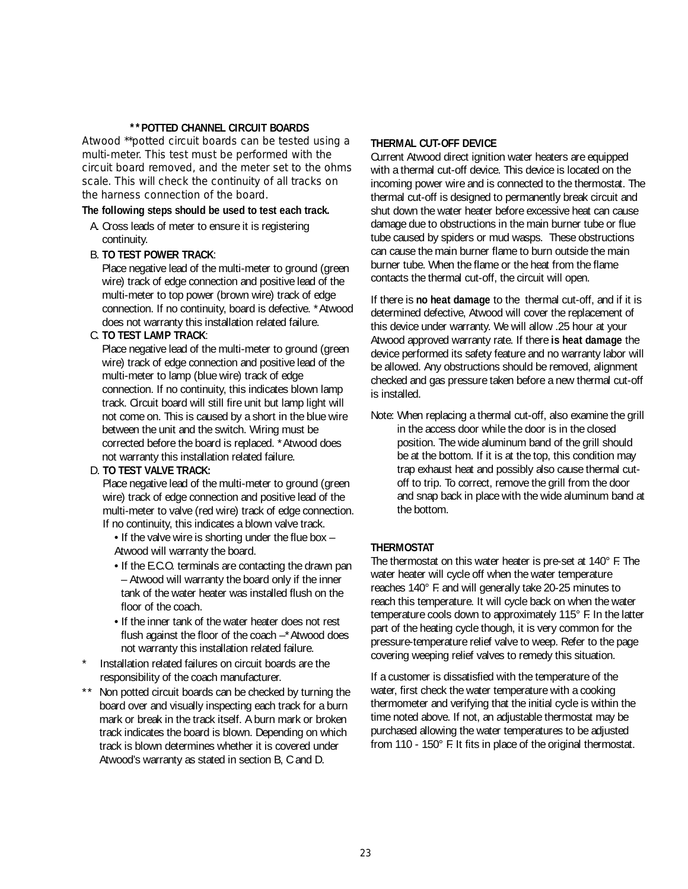#### **\*\*POTTED CHANNEL CIRCUIT BOARDS**

Atwood \*\*potted circuit boards can be tested using a multi-meter. This test must be performed with the circuit board removed, and the meter set to the ohms scale. This will check the continuity of all tracks on the harness connection of the board.

#### **The following steps should be used to test each track.**

A. Cross leads of meter to ensure it is registering continuity.

#### B. **TO TEST POWER TRACK**:

Place negative lead of the multi-meter to ground (green wire) track of edge connection and positive lead of the multi-meter to top power (brown wire) track of edge connection. If no continuity, board is defective. \*Atwood does not warranty this installation related failure.

#### C. **TO TEST LAMP TRACK**:

Place negative lead of the multi-meter to ground (green wire) track of edge connection and positive lead of the multi-meter to lamp (blue wire) track of edge connection. If no continuity, this indicates blown lamp track. Circuit board will still fire unit but lamp light will not come on. This is caused by a short in the blue wire between the unit and the switch. Wiring must be corrected before the board is replaced. \*Atwood does not warranty this installation related failure.

#### D. **TO TEST VALVE TRACK:**

Place negative lead of the multi-meter to ground (green wire) track of edge connection and positive lead of the multi-meter to valve (red wire) track of edge connection. If no continuity, this indicates a blown valve track.

- If the valve wire is shorting under the flue box Atwood will warranty the board.
- If the E.C.O. terminals are contacting the drawn pan – Atwood will warranty the board only if the inner tank of the water heater was installed flush on the floor of the coach.
- If the inner tank of the water heater does not rest flush against the floor of the coach –\*Atwood does not warranty this installation related failure.
- Installation related failures on circuit boards are the responsibility of the coach manufacturer.
- \*\* Non potted circuit boards can be checked by turning the board over and visually inspecting each track for a burn mark or break in the track itself. A burn mark or broken track indicates the board is blown. Depending on which track is blown determines whether it is covered under Atwood's warranty as stated in section B, C and D.

#### **THERMAL CUT-OFF DEVICE**

Current Atwood direct ignition water heaters are equipped with a thermal cut-off device. This device is located on the incoming power wire and is connected to the thermostat. The thermal cut-off is designed to permanently break circuit and shut down the water heater before excessive heat can cause damage due to obstructions in the main burner tube or flue tube caused by spiders or mud wasps. These obstructions can cause the main burner flame to burn outside the main burner tube. When the flame or the heat from the flame contacts the thermal cut-off, the circuit will open.

If there is **no heat damage** to the thermal cut-off, and if it is determined defective, Atwood will cover the replacement of this device under warranty. We will allow .25 hour at your Atwood approved warranty rate. If there **is heat damage** the device performed its safety feature and no warranty labor will be allowed. Any obstructions should be removed, alignment checked and gas pressure taken before a new thermal cut-off is installed.

Note: When replacing a thermal cut-off, also examine the grill in the access door while the door is in the closed position. The wide aluminum band of the grill should be at the bottom. If it is at the top, this condition may trap exhaust heat and possibly also cause thermal cutoff to trip. To correct, remove the grill from the door and snap back in place with the wide aluminum band at the bottom.

#### **THERMOSTAT**

The thermostat on this water heater is pre-set at 140° F. The water heater will cycle off when the water temperature reaches 140° F. and will generally take 20-25 minutes to reach this temperature. It will cycle back on when the water temperature cools down to approximately 115° F. In the latter part of the heating cycle though, it is very common for the pressure-temperature relief valve to weep. Refer to the page covering weeping relief valves to remedy this situation.

If a customer is dissatisfied with the temperature of the water, first check the water temperature with a cooking thermometer and verifying that the initial cycle is within the time noted above. If not, an adjustable thermostat may be purchased allowing the water temperatures to be adjusted from 110 - 150° F. It fits in place of the original thermostat.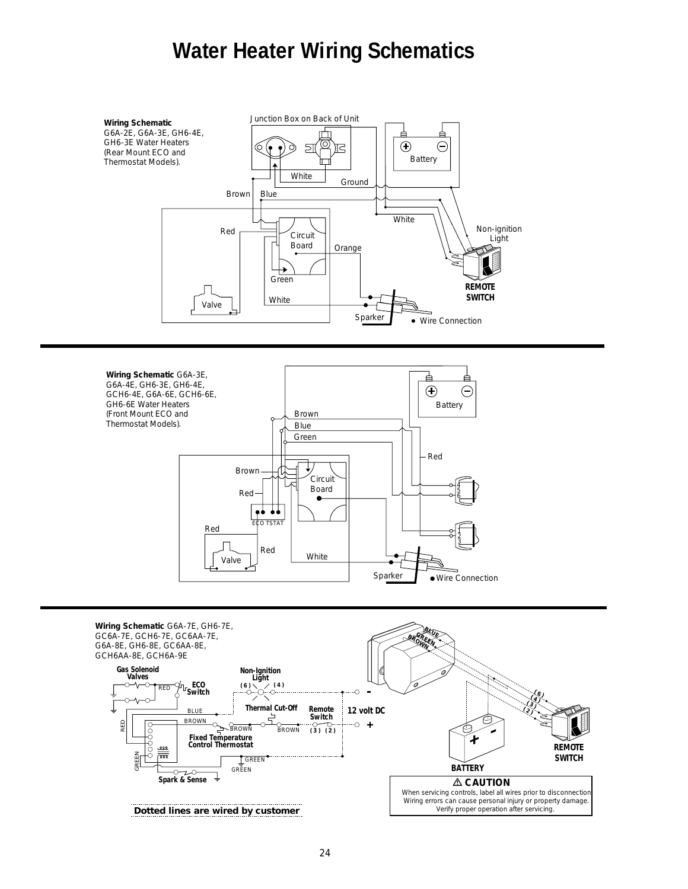# **Water Heater Wiring Schematics**





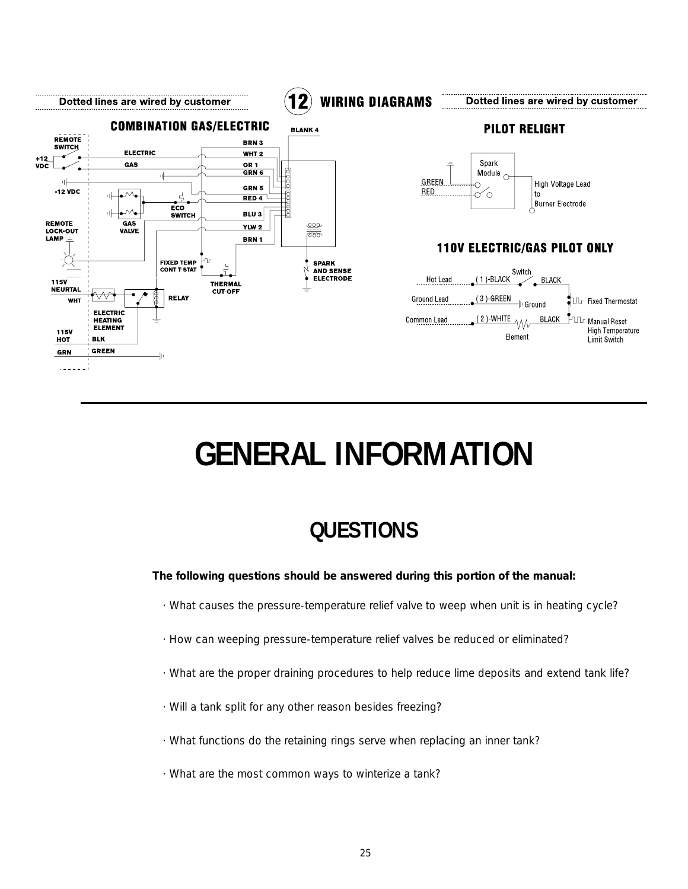

# **GENERAL INFORMATION**

# **QUESTIONS**

**The following questions should be answered during this portion of the manual:**

- · What causes the pressure-temperature relief valve to weep when unit is in heating cycle?
- · How can weeping pressure-temperature relief valves be reduced or eliminated?
- · What are the proper draining procedures to help reduce lime deposits and extend tank life?
- · Will a tank split for any other reason besides freezing?
- · What functions do the retaining rings serve when replacing an inner tank?
- · What are the most common ways to winterize a tank?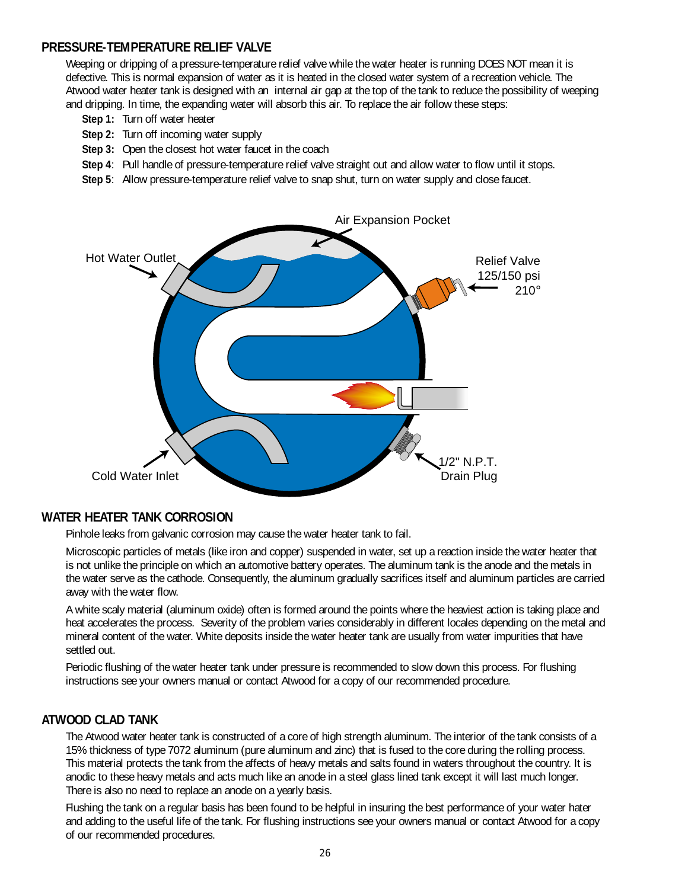# **PRESSURE-TEMPERATURE RELIEF VALVE**

Weeping or dripping of a pressure-temperature relief valve while the water heater is running DOES NOT mean it is defective. This is normal expansion of water as it is heated in the closed water system of a recreation vehicle. The Atwood water heater tank is designed with an internal air gap at the top of the tank to reduce the possibility of weeping and dripping. In time, the expanding water will absorb this air. To replace the air follow these steps:

- **Step 1:** Turn off water heater
- **Step 2:** Turn off incoming water supply
- **Step 3:** Open the closest hot water faucet in the coach
- **Step 4**: Pull handle of pressure-temperature relief valve straight out and allow water to flow until it stops.
- **Step 5**: Allow pressure-temperature relief valve to snap shut, turn on water supply and close faucet.



# **WATER HEATER TANK CORROSION**

Pinhole leaks from galvanic corrosion may cause the water heater tank to fail.

Microscopic particles of metals (like iron and copper) suspended in water, set up a reaction inside the water heater that is not unlike the principle on which an automotive battery operates. The aluminum tank is the anode and the metals in the water serve as the cathode. Consequently, the aluminum gradually sacrifices itself and aluminum particles are carried away with the water flow.

A white scaly material (aluminum oxide) often is formed around the points where the heaviest action is taking place and heat accelerates the process. Severity of the problem varies considerably in different locales depending on the metal and mineral content of the water. White deposits inside the water heater tank are usually from water impurities that have settled out.

Periodic flushing of the water heater tank under pressure is recommended to slow down this process. For flushing instructions see your owners manual or contact Atwood for a copy of our recommended procedure.

## **ATWOOD CLAD TANK**

The Atwood water heater tank is constructed of a core of high strength aluminum. The interior of the tank consists of a 15% thickness of type 7072 aluminum (pure aluminum and zinc) that is fused to the core during the rolling process. This material protects the tank from the affects of heavy metals and salts found in waters throughout the country. It is anodic to these heavy metals and acts much like an anode in a steel glass lined tank except it will last much longer. There is also no need to replace an anode on a yearly basis.

Flushing the tank on a regular basis has been found to be helpful in insuring the best performance of your water hater and adding to the useful life of the tank. For flushing instructions see your owners manual or contact Atwood for a copy of our recommended procedures.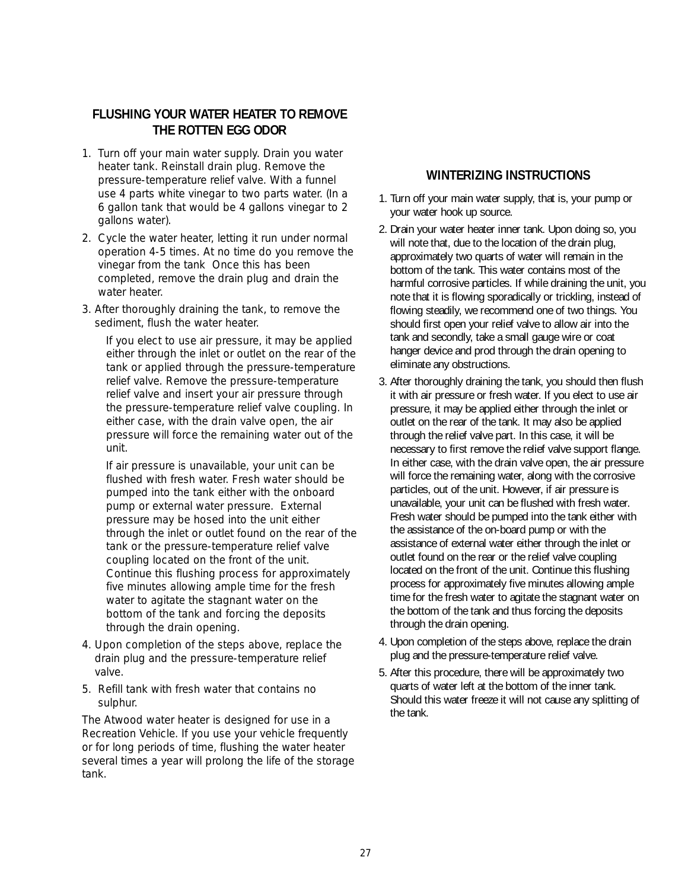# **FLUSHING YOUR WATER HEATER TO REMOVE THE ROTTEN EGG ODOR**

- 1. Turn off your main water supply. Drain you water heater tank. Reinstall drain plug. Remove the pressure-temperature relief valve. With a funnel use 4 parts white vinegar to two parts water. (In a 6 gallon tank that would be 4 gallons vinegar to 2 gallons water).
- 2. Cycle the water heater, letting it run under normal operation 4-5 times. At no time do you remove the vinegar from the tank Once this has been completed, remove the drain plug and drain the water heater.
- 3. After thoroughly draining the tank, to remove the sediment, flush the water heater.

If you elect to use air pressure, it may be applied either through the inlet or outlet on the rear of the tank or applied through the pressure-temperature relief valve. Remove the pressure-temperature relief valve and insert your air pressure through the pressure-temperature relief valve coupling. In either case, with the drain valve open, the air pressure will force the remaining water out of the unit.

If air pressure is unavailable, your unit can be flushed with fresh water. Fresh water should be pumped into the tank either with the onboard pump or external water pressure. External pressure may be hosed into the unit either through the inlet or outlet found on the rear of the tank or the pressure-temperature relief valve coupling located on the front of the unit. Continue this flushing process for approximately five minutes allowing ample time for the fresh water to agitate the stagnant water on the bottom of the tank and forcing the deposits through the drain opening.

- 4. Upon completion of the steps above, replace the drain plug and the pressure-temperature relief valve.
- 5. Refill tank with fresh water that contains no sulphur.

The Atwood water heater is designed for use in a Recreation Vehicle. If you use your vehicle frequently or for long periods of time, flushing the water heater several times a year will prolong the life of the storage tank.

# **WINTERIZING INSTRUCTIONS**

- 1. Turn off your main water supply, that is, your pump or your water hook up source.
- 2. Drain your water heater inner tank. Upon doing so, you will note that, due to the location of the drain plug. approximately two quarts of water will remain in the bottom of the tank. This water contains most of the harmful corrosive particles. If while draining the unit, you note that it is flowing sporadically or trickling, instead of flowing steadily, we recommend one of two things. You should first open your relief valve to allow air into the tank and secondly, take a small gauge wire or coat hanger device and prod through the drain opening to eliminate any obstructions.
- 3. After thoroughly draining the tank, you should then flush it with air pressure or fresh water. If you elect to use air pressure, it may be applied either through the inlet or outlet on the rear of the tank. It may also be applied through the relief valve part. In this case, it will be necessary to first remove the relief valve support flange. In either case, with the drain valve open, the air pressure will force the remaining water, along with the corrosive particles, out of the unit. However, if air pressure is unavailable, your unit can be flushed with fresh water. Fresh water should be pumped into the tank either with the assistance of the on-board pump or with the assistance of external water either through the inlet or outlet found on the rear or the relief valve coupling located on the front of the unit. Continue this flushing process for approximately five minutes allowing ample time for the fresh water to agitate the stagnant water on the bottom of the tank and thus forcing the deposits through the drain opening.
- 4. Upon completion of the steps above, replace the drain plug and the pressure-temperature relief valve.
- 5. After this procedure, there will be approximately two quarts of water left at the bottom of the inner tank. Should this water freeze it will not cause any splitting of the tank.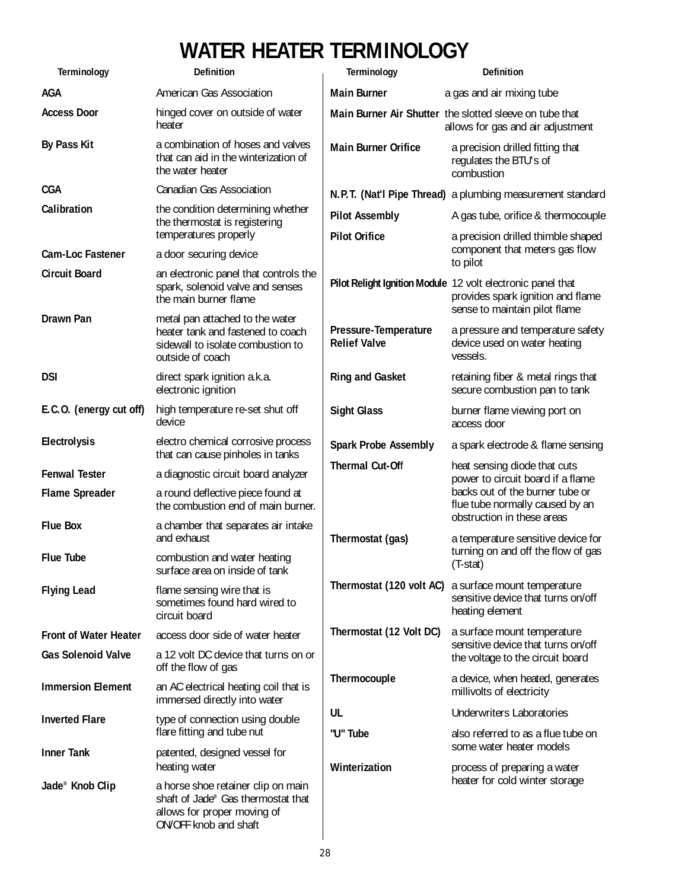# **WATER HEATER TERMINOLOGY**

| Terminology                  | <b>Definition</b>                                                                                                                | Terminology                                 | Definition                                                                                                                        |
|------------------------------|----------------------------------------------------------------------------------------------------------------------------------|---------------------------------------------|-----------------------------------------------------------------------------------------------------------------------------------|
| AGA                          | American Gas Association                                                                                                         | <b>Main Burner</b>                          | a gas and air mixing tube                                                                                                         |
| <b>Access Door</b>           | hinged cover on outside of water<br>heater                                                                                       |                                             | Main Burner Air Shutter the slotted sleeve on tube that<br>allows for gas and air adjustment                                      |
| <b>By Pass Kit</b>           | a combination of hoses and valves<br>that can aid in the winterization of<br>the water heater                                    | Main Burner Orifice                         | a precision drilled fitting that<br>regulates the BTU's of<br>combustion                                                          |
| <b>CGA</b>                   | <b>Canadian Gas Association</b>                                                                                                  |                                             | N.P.T. (Nat'l Pipe Thread) a plumbing measurement standard                                                                        |
| Calibration                  | the condition determining whether<br>the thermostat is registering                                                               | <b>Pilot Assembly</b>                       | A gas tube, orifice & thermocouple                                                                                                |
|                              | temperatures properly                                                                                                            | <b>Pilot Orifice</b>                        | a precision drilled thimble shaped                                                                                                |
| Cam-Loc Fastener             | a door securing device                                                                                                           |                                             | component that meters gas flow<br>to pilot                                                                                        |
| <b>Circuit Board</b>         | an electronic panel that controls the<br>spark, solenoid valve and senses<br>the main burner flame                               |                                             | Pilot Relight Ignition Module 12 volt electronic panel that<br>provides spark ignition and flame<br>sense to maintain pilot flame |
| Drawn Pan                    | metal pan attached to the water<br>heater tank and fastened to coach<br>sidewall to isolate combustion to<br>outside of coach    | Pressure-Temperature<br><b>Relief Valve</b> | a pressure and temperature safety<br>device used on water heating<br>vessels.                                                     |
| <b>DSI</b>                   | direct spark ignition a.k.a.<br>electronic ignition                                                                              | <b>Ring and Gasket</b>                      | retaining fiber & metal rings that<br>secure combustion pan to tank                                                               |
| E.C.O. (energy cut off)      | high temperature re-set shut off<br>device                                                                                       | <b>Sight Glass</b>                          | burner flame viewing port on<br>access door                                                                                       |
| Electrolysis                 | electro chemical corrosive process<br>that can cause pinholes in tanks                                                           | <b>Spark Probe Assembly</b>                 | a spark electrode & flame sensing                                                                                                 |
| <b>Fenwal Tester</b>         | a diagnostic circuit board analyzer                                                                                              | <b>Thermal Cut-Off</b>                      | heat sensing diode that cuts<br>power to circuit board if a flame                                                                 |
| <b>Flame Spreader</b>        | a round deflective piece found at<br>the combustion end of main burner.                                                          |                                             | backs out of the burner tube or<br>flue tube normally caused by an<br>obstruction in these areas                                  |
| <b>Flue Box</b>              | a chamber that separates air intake<br>and exhaust                                                                               | Thermostat (gas)                            | a temperature sensitive device for                                                                                                |
| <b>Flue Tube</b>             | combustion and water heating<br>surface area on inside of tank                                                                   |                                             | turning on and off the flow of gas<br>(T-stat)                                                                                    |
| <b>Flying Lead</b>           | flame sensing wire that is<br>sometimes found hard wired to<br>circuit board                                                     |                                             | Thermostat (120 volt AC) a surface mount temperature<br>sensitive device that turns on/off<br>heating element                     |
| <b>Front of Water Heater</b> | access door side of water heater                                                                                                 | Thermostat (12 Volt DC)                     | a surface mount temperature<br>sensitive device that turns on/off                                                                 |
| <b>Gas Solenoid Valve</b>    | a 12 volt DC device that turns on or<br>off the flow of gas                                                                      |                                             | the voltage to the circuit board                                                                                                  |
| <b>Immersion Element</b>     | an AC electrical heating coil that is<br>immersed directly into water                                                            | Thermocouple                                | a device, when heated, generates<br>millivolts of electricity                                                                     |
| <b>Inverted Flare</b>        | type of connection using double                                                                                                  | UL                                          | <b>Underwriters Laboratories</b>                                                                                                  |
| <b>Inner Tank</b>            | flare fitting and tube nut<br>patented, designed vessel for                                                                      | "U" Tube                                    | also referred to as a flue tube on<br>some water heater models                                                                    |
|                              | heating water                                                                                                                    | Winterization                               | process of preparing a water                                                                                                      |
| Jade <sup>®</sup> Knob Clip  | a horse shoe retainer clip on main<br>shaft of Jade® Gas thermostat that<br>allows for proper moving of<br>ON/OFF knob and shaft |                                             | heater for cold winter storage                                                                                                    |

 $\overline{\phantom{a}}$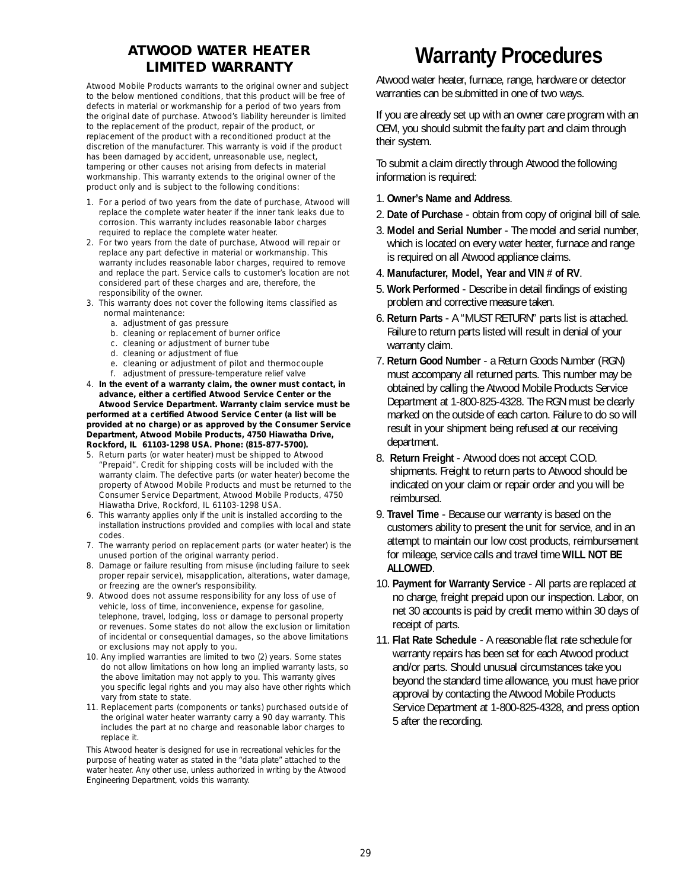# **ATWOOD WATER HEATER LIMITED WARRANTY**

Atwood Mobile Products warrants to the original owner and subject to the below mentioned conditions, that this product will be free of defects in material or workmanship for a period of two years from the original date of purchase. Atwood's liability hereunder is limited to the replacement of the product, repair of the product, or replacement of the product with a reconditioned product at the discretion of the manufacturer. This warranty is void if the product has been damaged by accident, unreasonable use, neglect, tampering or other causes not arising from defects in material workmanship. This warranty extends to the original owner of the product only and is subject to the following conditions:

- 1. For a period of two years from the date of purchase, Atwood will replace the complete water heater if the inner tank leaks due to corrosion. This warranty includes reasonable labor charges required to replace the complete water heater.
- 2. For two years from the date of purchase, Atwood will repair or replace any part defective in material or workmanship. This warranty includes reasonable labor charges, required to remove and replace the part. Service calls to customer's location are not considered part of these charges and are, therefore, the responsibility of the owner.
- 3. This warranty does not cover the following items classified as normal maintenance:
	- a. adjustment of gas pressure
	- b. cleaning or replacement of burner orifice
	- c. cleaning or adjustment of burner tube
	- d. cleaning or adjustment of flue
	- e. cleaning or adjustment of pilot and thermocouple
	- f. adjustment of pressure-temperature relief valve
- 4. **In the event of a warranty claim, the owner must contact, in advance, either a certified Atwood Service Center or the Atwood Service Department. Warranty claim service must be performed at a certified Atwood Service Center (a list will be provided at no charge) or as approved by the Consumer Service Department, Atwood Mobile Products, 4750 Hiawatha Drive, Rockford, IL 61103-1298 USA. Phone: (815-877-5700).**
- 5. Return parts (or water heater) must be shipped to Atwood "Prepaid". Credit for shipping costs will be included with the warranty claim. The defective parts (or water heater) become the property of Atwood Mobile Products and must be returned to the Consumer Service Department, Atwood Mobile Products, 4750 Hiawatha Drive, Rockford, IL 61103-1298 USA.
- 6. This warranty applies only if the unit is installed according to the installation instructions provided and complies with local and state codes.
- 7. The warranty period on replacement parts (or water heater) is the unused portion of the original warranty period.
- 8. Damage or failure resulting from misuse (including failure to seek proper repair service), misapplication, alterations, water damage, or freezing are the owner's responsibility.
- 9. Atwood does not assume responsibility for any loss of use of vehicle, loss of time, inconvenience, expense for gasoline, telephone, travel, lodging, loss or damage to personal property or revenues. Some states do not allow the exclusion or limitation of incidental or consequential damages, so the above limitations or exclusions may not apply to you.
- 10. Any implied warranties are limited to two (2) years. Some states do not allow limitations on how long an implied warranty lasts, so the above limitation may not apply to you. This warranty gives you specific legal rights and you may also have other rights which vary from state to state.
- 11. Replacement parts (components or tanks) purchased outside of the original water heater warranty carry a 90 day warranty. This includes the part at no charge and reasonable labor charges to replace it.

This Atwood heater is designed for use in recreational vehicles for the purpose of heating water as stated in the "data plate" attached to the water heater. Any other use, unless authorized in writing by the Atwood Engineering Department, voids this warranty.

# **Warranty Procedures**

Atwood water heater, furnace, range, hardware or detector warranties can be submitted in one of two ways.

If you are already set up with an owner care program with an OEM, you should submit the faulty part and claim through their system.

To submit a claim directly through Atwood the following information is required:

- 1. **Owner's Name and Address**.
- 2. **Date of Purchase** obtain from copy of original bill of sale.
- 3. **Model and Serial Number** The model and serial number, which is located on every water heater, furnace and range is required on all Atwood appliance claims.
- 4. **Manufacturer, Model, Year and VIN # of RV**.
- 5. **Work Performed**  Describe in detail findings of existing problem and corrective measure taken.
- 6. **Return Parts** A "MUST RETURN" parts list is attached. Failure to return parts listed will result in denial of your warranty claim.
- 7. **Return Good Number** a Return Goods Number (RGN) must accompany all returned parts. This number may be obtained by calling the Atwood Mobile Products Service Department at 1-800-825-4328. The RGN must be clearly marked on the outside of each carton. Failure to do so will result in your shipment being refused at our receiving department.
- 8. **Return Freight**  Atwood does not accept C.O.D. shipments. Freight to return parts to Atwood should be indicated on your claim or repair order and you will be reimbursed.
- 9. **Travel Time** Because our warranty is based on the customers ability to present the unit for service, and in an attempt to maintain our low cost products, reimbursement for mileage, service calls and travel time **WILL NOT BE ALLOWED**.
- 10. **Payment for Warranty Service** All parts are replaced at no charge, freight prepaid upon our inspection. Labor, on net 30 accounts is paid by credit memo within 30 days of receipt of parts.
- 11. **Flat Rate Schedule** A reasonable flat rate schedule for warranty repairs has been set for each Atwood product and/or parts. Should unusual circumstances take you beyond the standard time allowance, you must have prior approval by contacting the Atwood Mobile Products Service Department at 1-800-825-4328, and press option 5 after the recording.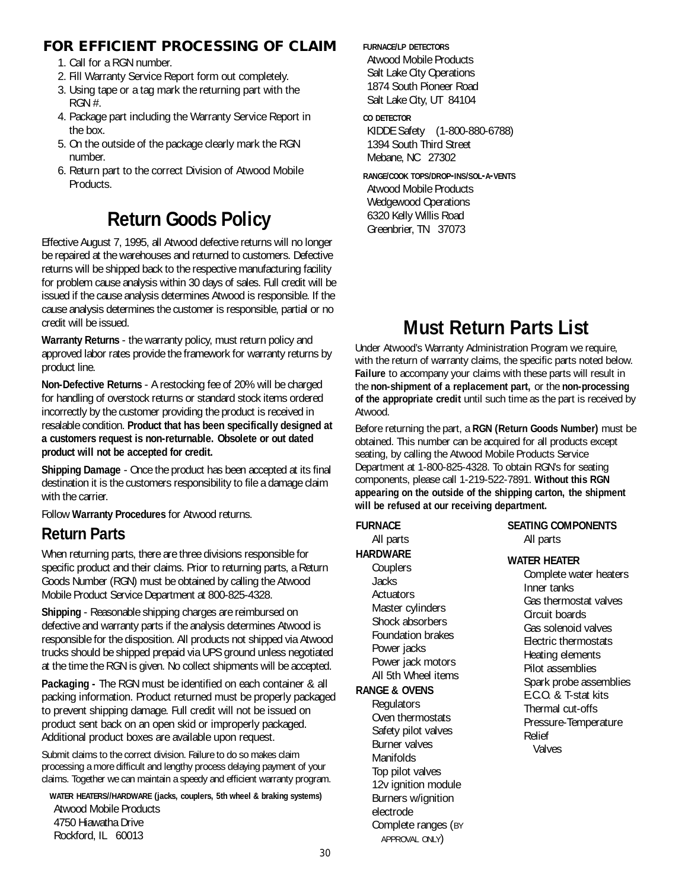# **FOR EFFICIENT PROCESSING OF CLAIM**

- 1. Call for a RGN number.
- 2. Fill Warranty Service Report form out completely.
- 3. Using tape or a tag mark the returning part with the  $RGN #$ .
- 4. Package part including the Warranty Service Report in the box.
- 5. On the outside of the package clearly mark the RGN number.
- 6. Return part to the correct Division of Atwood Mobile **Products**

# **Return Goods Policy**

Effective August 7, 1995, all Atwood defective returns will no longer be repaired at the warehouses and returned to customers. Defective returns will be shipped back to the respective manufacturing facility for problem cause analysis within 30 days of sales. Full credit will be issued if the cause analysis determines Atwood is responsible. If the cause analysis determines the customer is responsible, partial or no credit will be issued.

**Warranty Returns** - the warranty policy, must return policy and approved labor rates provide the framework for warranty returns by product line.

**Non-Defective Returns** - A restocking fee of 20% will be charged for handling of overstock returns or standard stock items ordered incorrectly by the customer providing the product is received in resalable condition. **Product that has been specifically designed at a customers request is non-returnable. Obsolete or out dated product will not be accepted for credit.**

**Shipping Damage** - Once the product has been accepted at its final destination it is the customers responsibility to file a damage claim with the carrier.

Follow **Warranty Procedures** for Atwood returns.

# **Return Parts**

When returning parts, there are three divisions responsible for specific product and their claims. Prior to returning parts, a Return Goods Number (RGN) must be obtained by calling the Atwood Mobile Product Service Department at 800-825-4328.

**Shipping** - Reasonable shipping charges are reimbursed on defective and warranty parts if the analysis determines Atwood is responsible for the disposition. All products not shipped via Atwood trucks should be shipped prepaid via UPS ground unless negotiated at the time the RGN is given. No collect shipments will be accepted.

**Packaging -** The RGN must be identified on each container & all packing information. Product returned must be properly packaged to prevent shipping damage. Full credit will not be issued on product sent back on an open skid or improperly packaged. Additional product boxes are available upon request.

Submit claims to the correct division. Failure to do so makes claim processing a more difficult and lengthy process delaying payment of your claims. Together we can maintain a speedy and efficient warranty program.

**WATER HEATERS//HARDWARE (jacks, couplers, 5th wheel & braking systems)** Atwood Mobile Products 4750 Hiawatha Drive Rockford, IL 60013

# **FURNACE/LP DETECTORS**

Atwood Mobile Products Salt Lake City Operations 1874 South Pioneer Road Salt Lake City, UT 84104

## **CO DETECTOR**

KIDDE Safety (1-800-880-6788) 1394 South Third Street Mebane, NC 27302

## **RANGE/COOK TOPS/DROP-INS/SOL-A-VENTS**

Atwood Mobile Products Wedgewood Operations 6320 Kelly Willis Road Greenbrier, TN 37073

# **Must Return Parts List**

Under Atwood's Warranty Administration Program we require, with the return of warranty claims, the specific parts noted below. **Failure** to accompany your claims with these parts will result in the **non-shipment of a replacement part,** or the **non-processing of the appropriate credit** until such time as the part is received by Atwood.

Before returning the part, a **RGN (Return Goods Number)** must be obtained. This number can be acquired for all products except seating, by calling the Atwood Mobile Products Service Department at 1-800-825-4328. To obtain RGN's for seating components, please call 1-219-522-7891. **Without this RGN appearing on the outside of the shipping carton, the shipment will be refused at our receiving department.**

# **FURNACE**

#### All parts **HARDWARE**

Couplers Jacks **Actuators** Master cylinders Shock absorbers Foundation brakes Power jacks Power jack motors All 5th Wheel items

# **RANGE & OVENS**

**Regulators** Oven thermostats Safety pilot valves Burner valves Manifolds Top pilot valves 12v ignition module Burners w/ignition electrode Complete ranges (BY APPROVAL ONLY)

## **SEATING COMPONENTS** All parts

## **WATER HEATER**

Complete water heaters Inner tanks Gas thermostat valves Circuit boards Gas solenoid valves Electric thermostats Heating elements Pilot assemblies Spark probe assemblies E.C.O. & T-stat kits Thermal cut-offs Pressure-Temperature Relief Valves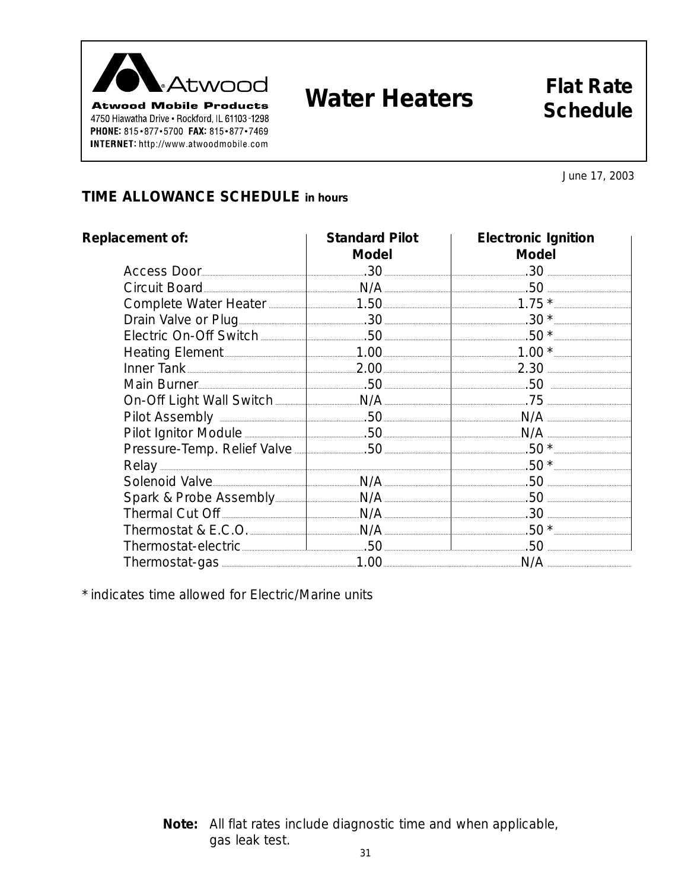

INTERNET: http://www.atwoodmobile.com

# **Water Heaters**

# **Flat Rate Schedule**

June 17, 2003

# **TIME ALLOWANCE SCHEDULE in hours**

| Replacement of:                                                                                                                                                                                                                               | <b>Standard Pilot</b><br><b>Model</b>                                                                                                                                                                                                                                                | <b>Electronic Ignition</b><br><b>Model</b> |
|-----------------------------------------------------------------------------------------------------------------------------------------------------------------------------------------------------------------------------------------------|--------------------------------------------------------------------------------------------------------------------------------------------------------------------------------------------------------------------------------------------------------------------------------------|--------------------------------------------|
| Access Door                                                                                                                                                                                                                                   | $\sim$ 30 $\sim$ 30 $\sim$ 30 $\sim$ 30 $\sim$ 30 $\sim$ 30 $\sim$ 30 $\sim$ 30 $\sim$ 30 $\sim$ 30 $\sim$ 30 $\sim$ 30 $\sim$ 30 $\sim$ 30 $\sim$ 31 $\sim$ 31 $\sim$ 31 $\sim$ 31 $\sim$ 31 $\sim$ 31 $\sim$ 31 $\sim$ 31 $\sim$ 31 $\sim$ 31 $\sim$ 31 $\sim$ 31 $\sim$ 31 $\sim$ |                                            |
|                                                                                                                                                                                                                                               |                                                                                                                                                                                                                                                                                      |                                            |
| Complete Water Heater <u>[1989]</u> [1.50 [1.50] [1.50 [1.50] [1.75 <sup>*</sup> [1.75] [1.75] [1.75] [1.75] [1.75] [1.75] [1.75] [1.75] [1.75] [1.75] [1.75] [1.75] [1.75] [1.75] [1.75] [1.75] [1.75] [1.75] [1.75] [1.75] [1.75] [1.75] [1 |                                                                                                                                                                                                                                                                                      |                                            |
|                                                                                                                                                                                                                                               |                                                                                                                                                                                                                                                                                      |                                            |
| Electric On-Off Switch 50                                                                                                                                                                                                                     |                                                                                                                                                                                                                                                                                      |                                            |
|                                                                                                                                                                                                                                               |                                                                                                                                                                                                                                                                                      |                                            |
| Inner Tank 2.00 2.30                                                                                                                                                                                                                          |                                                                                                                                                                                                                                                                                      |                                            |
|                                                                                                                                                                                                                                               |                                                                                                                                                                                                                                                                                      |                                            |
|                                                                                                                                                                                                                                               |                                                                                                                                                                                                                                                                                      |                                            |
|                                                                                                                                                                                                                                               |                                                                                                                                                                                                                                                                                      |                                            |
|                                                                                                                                                                                                                                               |                                                                                                                                                                                                                                                                                      |                                            |
| Pressure-Temp. Relief Valve   50 [100] [100] [100] [100] [100] [100] [100] [100] [100] [100] [100] [100] [100] [100] [100] [100] [100] [100] [100] [100] [100] [100] [100] [100] [100] [100] [100] [100] [100] [100] [100] [10                |                                                                                                                                                                                                                                                                                      |                                            |
|                                                                                                                                                                                                                                               |                                                                                                                                                                                                                                                                                      |                                            |
| Solenoid Valve                                                                                                                                                                                                                                |                                                                                                                                                                                                                                                                                      |                                            |
|                                                                                                                                                                                                                                               |                                                                                                                                                                                                                                                                                      |                                            |
|                                                                                                                                                                                                                                               |                                                                                                                                                                                                                                                                                      | $\overline{\phantom{a}1}$ . $30$           |
|                                                                                                                                                                                                                                               |                                                                                                                                                                                                                                                                                      | $.50*$                                     |
|                                                                                                                                                                                                                                               |                                                                                                                                                                                                                                                                                      |                                            |
|                                                                                                                                                                                                                                               |                                                                                                                                                                                                                                                                                      |                                            |

\* indicates time allowed for Electric/Marine units

Note: All flat rates include diagnostic time and when applicable, gas leak test.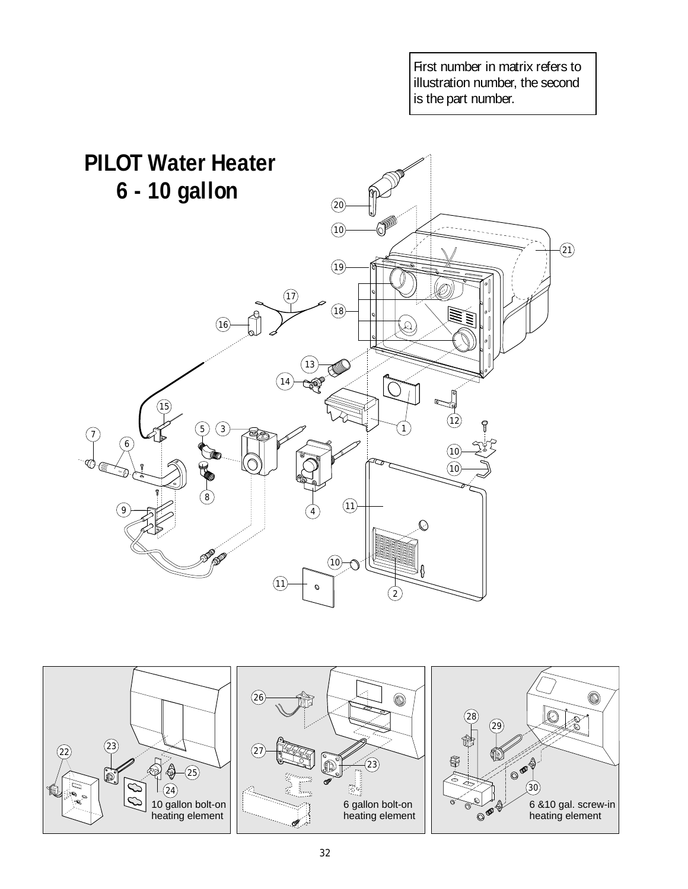First number in matrix refers to illustration number, the second is the part number.



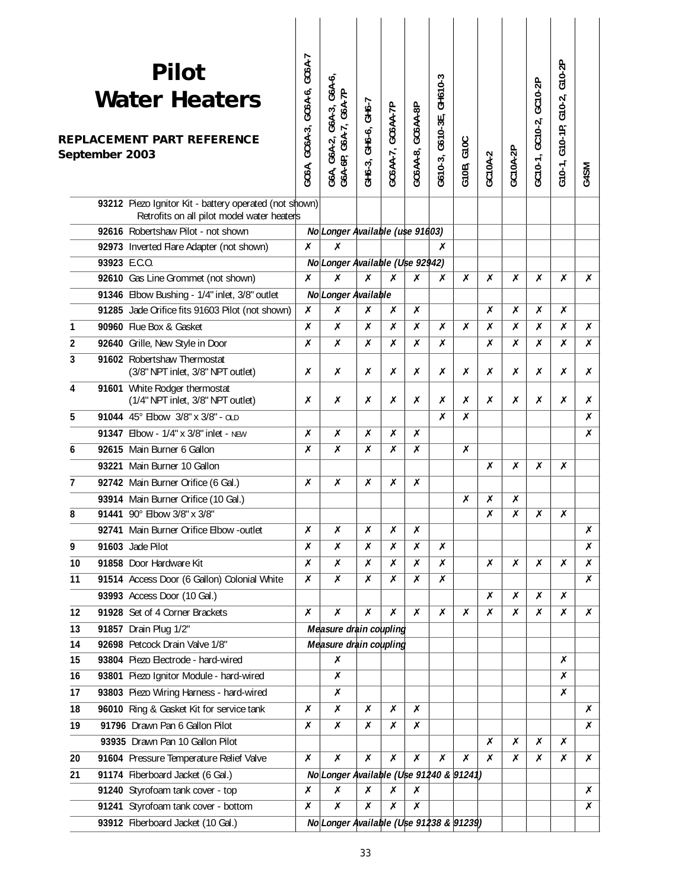|                | <b>Pilot</b><br><b>Water Heaters</b><br><b>REPLACEMENT PART REFERENCE</b><br>September 2003          | 3C6A, GC6A-3, GC6A-6, GC6A-7 | G6A, G6A-2, G6A-3, G6A-6,<br>G6A-6P, G6A-7, G6A-7P | 3H6-3, GH6-6, GH6-7 | GC6AA-7, GC6AA-7P | GC6AA-8, GC6AA-8P | G610-3, G610-3E, GH610-3 | G10B, G10C | GC10A-2 | GC10A-2P | GC10-1, GC10-2, GC10-2P | $G10-2P$<br>G10-1, G10-1P, G10-2, | G4SM             |  |
|----------------|------------------------------------------------------------------------------------------------------|------------------------------|----------------------------------------------------|---------------------|-------------------|-------------------|--------------------------|------------|---------|----------|-------------------------|-----------------------------------|------------------|--|
|                | 93212 Piezo Ignitor Kit - battery operated (not shown)<br>Retrofits on all pilot model water heaters |                              |                                                    |                     |                   |                   |                          |            |         |          |                         |                                   |                  |  |
|                | 92616 Robertshaw Pilot - not shown                                                                   |                              | No Longer Available (use 91603)                    |                     |                   |                   |                          |            |         |          |                         |                                   |                  |  |
|                | 92973 Inverted Flare Adapter (not shown)                                                             | Х                            | Х                                                  |                     |                   |                   | Х                        |            |         |          |                         |                                   |                  |  |
|                | 93923 E.C.O.                                                                                         |                              | No Longer Available (Use 92942)                    |                     |                   |                   |                          |            |         |          |                         |                                   |                  |  |
|                | 92610 Gas Line Grommet (not shown)                                                                   | $\pmb{\times}$               | X                                                  | X                   | Х                 | Х                 | X                        | X          | Х       | Х        | x                       | X                                 | X                |  |
|                | 91346 Elbow Bushing - 1/4" inlet, 3/8" outlet                                                        |                              | No Longer Available                                |                     |                   |                   |                          |            |         |          |                         |                                   |                  |  |
|                | 91285 Jade Orifice fits 91603 Pilot (not shown)                                                      | X                            | Х                                                  | Х                   | Х                 | Х                 |                          |            | Х       | Х        | Х                       | Х                                 |                  |  |
| $\mathbf{1}$   | 90960 Flue Box & Gasket                                                                              | Х                            | X                                                  | X                   | X                 | X                 | X                        | X          | X       | X        | x                       | X                                 | $\boldsymbol{x}$ |  |
| $\overline{2}$ | 92640 Grille, New Style in Door                                                                      | Х                            | X                                                  | Х                   | Х                 | Х                 | Х                        |            | X       | Х        | Х                       | Х                                 | Х                |  |
| 3              | 91602 Robertshaw Thermostat<br>(3/8" NPT inlet, 3/8" NPT outlet)                                     | Х                            | X                                                  | X                   | X                 | Х                 | Х                        | X          | Х       | Х        | Х                       | Х                                 | Х                |  |
| 4              | 91601 White Rodger thermostat<br>(1/4" NPT inlet, 3/8" NPT outlet)                                   | X                            | X                                                  | X                   | X                 | Х                 | X                        | X          | X       | X        | Х                       | X                                 | X                |  |
| 5              | 91044 45° Elbow 3/8" x 3/8" - OLD                                                                    |                              |                                                    |                     |                   |                   | X                        | Х          |         |          |                         |                                   | X                |  |
|                | 91347 Elbow - 1/4" x 3/8" inlet - NEW                                                                | X                            | X                                                  | X                   | Х                 | X                 |                          |            |         |          |                         |                                   | X                |  |
| 6              | 92615 Main Burner 6 Gallon                                                                           | X                            | X                                                  | X                   | Х                 | X                 |                          | X          |         |          |                         |                                   |                  |  |
|                | 93221 Main Burner 10 Gallon                                                                          |                              |                                                    |                     |                   |                   |                          |            | X       | X        | x                       | X                                 |                  |  |
| $\overline{7}$ | 92742 Main Burner Orifice (6 Gal.)                                                                   | X                            | X                                                  | X                   | X                 | X                 |                          |            |         |          |                         |                                   |                  |  |
|                | 93914 Main Burner Orifice (10 Gal.)                                                                  |                              |                                                    |                     |                   |                   |                          | Х          | х       | Х        |                         |                                   |                  |  |
| 8              | 91441 90° Elbow 3/8" x 3/8"                                                                          |                              |                                                    |                     |                   |                   |                          |            | Х       | X        | Х                       | X                                 |                  |  |
|                | 92741 Main Burner Orifice Elbow -outlet                                                              | Х                            | Х                                                  | Х                   | Х                 | Х                 |                          |            |         |          |                         |                                   | Х                |  |
| 9              | 91603 Jade Pilot                                                                                     | Х                            | X                                                  | X                   | X                 | Х                 | Х                        |            |         |          |                         |                                   | Х                |  |
| 10             | 91858 Door Hardware Kit                                                                              | Х                            | Х                                                  | Х                   | X                 | Х                 | Х                        |            | Х       | Х        | Х                       | Х                                 | X                |  |
| 11             | 91514 Access Door (6 Gallon) Colonial White                                                          | Х                            | Х                                                  | Х                   | X                 | Х                 | Х                        |            |         |          |                         |                                   | Х                |  |
|                | 93993 Access Door (10 Gal.)                                                                          |                              |                                                    |                     |                   |                   |                          |            | X       | Х        | Х                       | Х                                 |                  |  |
| 12             | 91928 Set of 4 Corner Brackets                                                                       | X                            | X                                                  | X                   | Х                 | Х                 | Х                        | Х          | Х       | X        | Х                       | Х                                 | Х                |  |
| 13             | 91857 Drain Plug 1/2"                                                                                |                              | Measure drain coupling                             |                     |                   |                   |                          |            |         |          |                         |                                   |                  |  |
| 14             | 92698 Petcock Drain Valve 1/8"                                                                       |                              | Measure drain coupling                             |                     |                   |                   |                          |            |         |          |                         |                                   |                  |  |
| 15             | 93804 Piezo Electrode - hard-wired                                                                   |                              | Х                                                  |                     |                   |                   |                          |            |         |          |                         | Х                                 |                  |  |
| 16             | 93801 Piezo Ignitor Module - hard-wired                                                              |                              | X                                                  |                     |                   |                   |                          |            |         |          |                         | Х                                 |                  |  |
| 17             | 93803 Piezo Wiring Harness - hard-wired                                                              |                              | Х                                                  |                     |                   |                   |                          |            |         |          |                         | Х                                 |                  |  |
| 18             | 96010 Ring & Gasket Kit for service tank                                                             | X                            | Х                                                  | X                   | X                 | X                 |                          |            |         |          |                         |                                   | Х                |  |
| 19             | 91796 Drawn Pan 6 Gallon Pilot                                                                       | Х                            | X                                                  | X                   | X                 | Х                 |                          |            |         |          |                         |                                   | X                |  |
|                | 93935 Drawn Pan 10 Gallon Pilot                                                                      |                              |                                                    |                     |                   |                   |                          |            | Х       | Х        | Х                       | Х                                 |                  |  |
| 20             | 91604 Pressure Temperature Relief Valve                                                              | X                            | X                                                  | X                   | $\pmb{\times}$    | X                 | X                        | X          | Х       | Х        | Х                       | Х                                 | Х                |  |
| 21             | 91174 Fiberboard Jacket (6 Gal.)                                                                     |                              | No Longer Available (Use 91240 & 91241)            |                     |                   |                   |                          |            |         |          |                         |                                   |                  |  |
|                | 91240 Styrofoam tank cover - top                                                                     | X                            | X                                                  | X                   | X                 | Х                 |                          |            |         |          |                         |                                   | Х                |  |
|                | 91241 Styrofoam tank cover - bottom                                                                  | Х                            | Х                                                  | X                   | Х                 | X                 |                          |            |         |          |                         |                                   | X                |  |
|                | 93912 Fiberboard Jacket (10 Gal.)                                                                    |                              | No Longer Available (Use 91238 & 91239)            |                     |                   |                   |                          |            |         |          |                         |                                   |                  |  |
|                |                                                                                                      |                              |                                                    |                     |                   |                   |                          |            |         |          |                         |                                   |                  |  |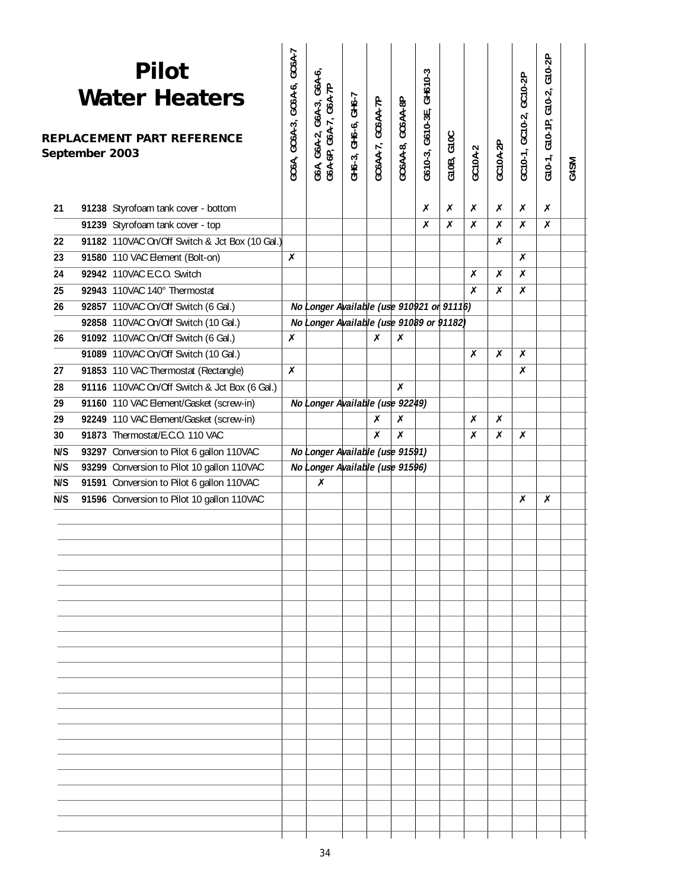|     | September 2003 | <b>Pilot</b><br><b>Water Heaters</b><br>REPLACEMENT PART REFERENCE | GC6A, GC6A-3, GC6A-6, GC6A-7 | G6A, G6A-2, G6A-3, G6A-6,<br>G6A-6P, G6A-7, G6A-7P | GH6-3, GH6-6, GH6-7 | GC6AA-7, GC6AA-7P | GC6AA-8, GC6AA-8P | G610-3, G610-3E, GH610-3 | G10B, G10C | GC10A-2 | GC10A-2P         | GC10-1, GC10-2, GC10-2P | G10-1, G10-1P, G10-2, G10-2P | G4SM |
|-----|----------------|--------------------------------------------------------------------|------------------------------|----------------------------------------------------|---------------------|-------------------|-------------------|--------------------------|------------|---------|------------------|-------------------------|------------------------------|------|
| 21  |                | 91238 Styrofoam tank cover - bottom                                |                              |                                                    |                     |                   |                   | X                        | X          | Х       | Х                | Х                       | Х                            |      |
|     |                | 91239 Styrofoam tank cover - top                                   |                              |                                                    |                     |                   |                   | X                        | X          | X       | X                | X                       | X                            |      |
| 22  |                | 91182 110VAC On/Off Switch & Jct Box (10 Gal.)                     |                              |                                                    |                     |                   |                   |                          |            |         | X                |                         |                              |      |
| 23  |                | 91580 110 VAC Element (Bolt-on)                                    | X                            |                                                    |                     |                   |                   |                          |            |         |                  | Х                       |                              |      |
| 24  |                | 92942 110VAC E.C.O. Switch                                         |                              |                                                    |                     |                   |                   |                          |            | X       | X                | $\pmb{\mathsf{x}}$      |                              |      |
| 25  |                | 92943 110VAC 140° Thermostat                                       |                              |                                                    |                     |                   |                   |                          |            | X       | Х                | Х                       |                              |      |
| 26  |                | 92857 110VAC On/Off Switch (6 Gal.)                                |                              | No Longer Available (use 910921 or 91116)          |                     |                   |                   |                          |            |         |                  |                         |                              |      |
|     |                | 92858 110VAC On/Off Switch (10 Gal.)                               |                              | No Longer Available (use 91089 or 91182)           |                     |                   |                   |                          |            |         |                  |                         |                              |      |
| 26  |                | 91092 110VAC On/Off Switch (6 Gal.)                                | X                            |                                                    |                     | Х                 | X                 |                          |            |         |                  |                         |                              |      |
|     |                | 91089 110VAC On/Off Switch (10 Gal.)                               |                              |                                                    |                     |                   |                   |                          |            | X       | $\boldsymbol{x}$ | Х                       |                              |      |
| 27  |                | 91853 110 VAC Thermostat (Rectangle)                               | $\boldsymbol{x}$             |                                                    |                     |                   |                   |                          |            |         |                  | X                       |                              |      |
| 28  |                | 91116 110VAC On/Off Switch & Jct Box (6 Gal.)                      |                              |                                                    |                     |                   | $\boldsymbol{x}$  |                          |            |         |                  |                         |                              |      |
| 29  |                | 91160 110 VAC Element/Gasket (screw-in)                            |                              | No Longer Available (use 92249)                    |                     |                   |                   |                          |            |         |                  |                         |                              |      |
| 29  |                | 92249 110 VAC Element/Gasket (screw-in)                            |                              |                                                    |                     | Х                 | $\boldsymbol{x}$  |                          |            | X       | Х                |                         |                              |      |
| 30  |                | 91873 Thermostat/E.C.O. 110 VAC                                    |                              |                                                    |                     | X                 | $\pmb{\times}$    |                          |            | Х       | $\boldsymbol{x}$ | X                       |                              |      |
| N/S |                | 93297 Conversion to Pilot 6 gallon 110VAC                          |                              | No Longer Available (use 91591)                    |                     |                   |                   |                          |            |         |                  |                         |                              |      |
| N/S |                | 93299 Conversion to Pilot 10 gallon 110VAC                         |                              | No Longer Available (use 91596)                    |                     |                   |                   |                          |            |         |                  |                         |                              |      |
| N/S |                | 91591 Conversion to Pilot 6 gallon 110VAC                          |                              | Х                                                  |                     |                   |                   |                          |            |         |                  |                         |                              |      |
| N/S |                | 91596 Conversion to Pilot 10 gallon 110VAC                         |                              |                                                    |                     |                   |                   |                          |            |         |                  | Х                       | X                            |      |
|     |                |                                                                    |                              |                                                    |                     |                   |                   |                          |            |         |                  |                         |                              |      |
|     |                |                                                                    |                              |                                                    |                     |                   |                   |                          |            |         |                  |                         |                              |      |
|     |                |                                                                    |                              |                                                    |                     |                   |                   |                          |            |         |                  |                         |                              |      |
|     |                |                                                                    |                              |                                                    |                     |                   |                   |                          |            |         |                  |                         |                              |      |
|     |                |                                                                    |                              |                                                    |                     |                   |                   |                          |            |         |                  |                         |                              |      |
|     |                |                                                                    |                              |                                                    |                     |                   |                   |                          |            |         |                  |                         |                              |      |
|     |                |                                                                    |                              |                                                    |                     |                   |                   |                          |            |         |                  |                         |                              |      |
|     |                |                                                                    |                              |                                                    |                     |                   |                   |                          |            |         |                  |                         |                              |      |
|     |                |                                                                    |                              |                                                    |                     |                   |                   |                          |            |         |                  |                         |                              |      |
|     |                |                                                                    |                              |                                                    |                     |                   |                   |                          |            |         |                  |                         |                              |      |
|     |                |                                                                    |                              |                                                    |                     |                   |                   |                          |            |         |                  |                         |                              |      |
|     |                |                                                                    |                              |                                                    |                     |                   |                   |                          |            |         |                  |                         |                              |      |
|     |                |                                                                    |                              |                                                    |                     |                   |                   |                          |            |         |                  |                         |                              |      |
|     |                |                                                                    |                              |                                                    |                     |                   |                   |                          |            |         |                  |                         |                              |      |
|     |                |                                                                    |                              |                                                    |                     |                   |                   |                          |            |         |                  |                         |                              |      |
|     |                |                                                                    |                              |                                                    |                     |                   |                   |                          |            |         |                  |                         |                              |      |
|     |                |                                                                    |                              |                                                    |                     |                   |                   |                          |            |         |                  |                         |                              |      |
|     |                |                                                                    |                              |                                                    |                     |                   |                   |                          |            |         |                  |                         |                              |      |
|     |                |                                                                    |                              |                                                    |                     |                   |                   |                          |            |         |                  |                         |                              |      |
|     |                |                                                                    |                              |                                                    |                     |                   |                   |                          |            |         |                  |                         |                              |      |
|     |                |                                                                    |                              |                                                    |                     |                   |                   |                          |            |         |                  |                         |                              |      |
|     |                |                                                                    |                              |                                                    |                     |                   |                   |                          |            |         |                  |                         |                              |      |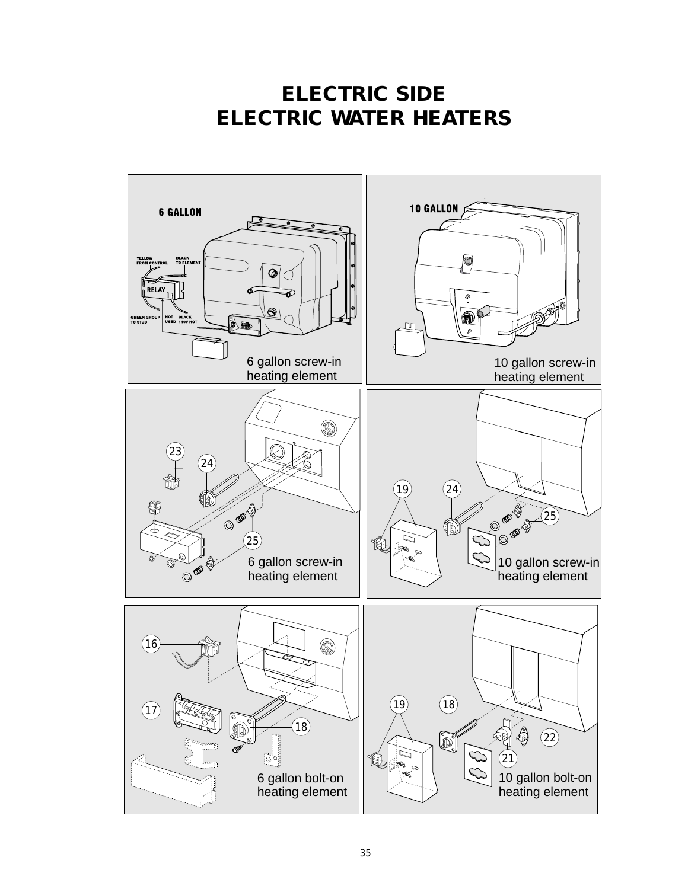# **ELECTRIC SIDE ELECTRIC WATER HEATERS**

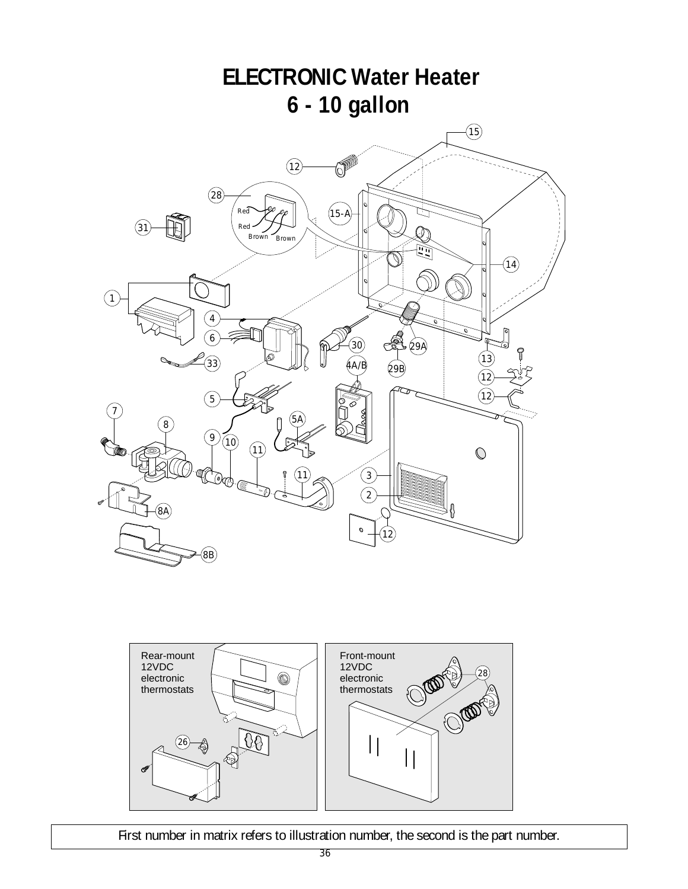



First number in matrix refers to illustration number, the second is the part number.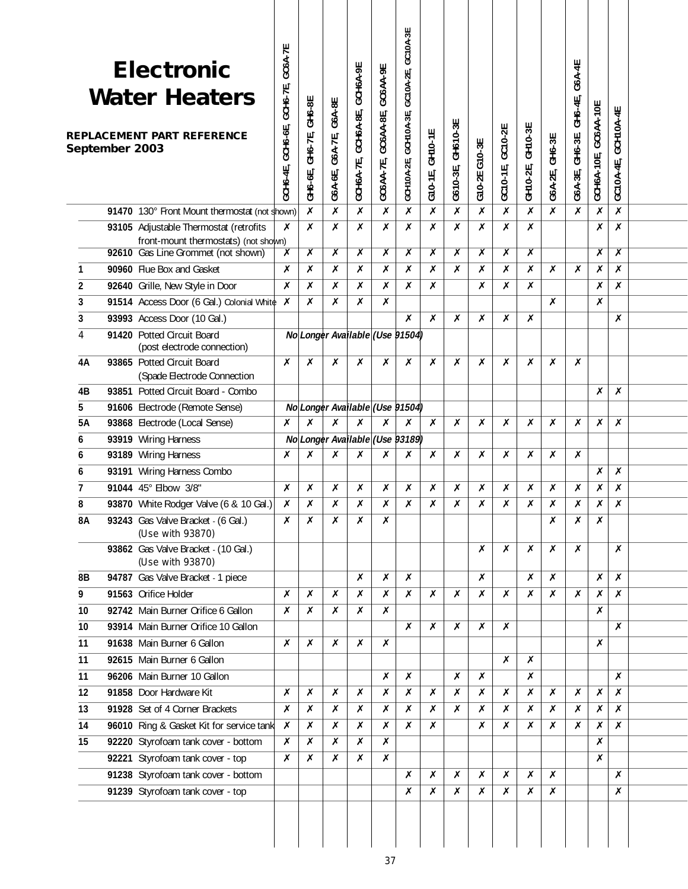|    |                | <b>Electronic</b><br><b>Water Heaters</b>                                                                            | 3CH6-4E, GCH6-6E, GCH6-7E, GC6A-7E | GH6-8E                      |                                 | GCH6A-8E, GCH6A-9E |                              | GC10A-3E<br>GC10A-2E, |                 |                      |                       |                     |                  |                   | G6A-4E<br>GH6-4E,  |                       |                        |  |
|----|----------------|----------------------------------------------------------------------------------------------------------------------|------------------------------------|-----------------------------|---------------------------------|--------------------|------------------------------|-----------------------|-----------------|----------------------|-----------------------|---------------------|------------------|-------------------|--------------------|-----------------------|------------------------|--|
|    | September 2003 | <b>REPLACEMENT PART REFERENCE</b>                                                                                    |                                    | <b>GH6-7E,</b><br>$GH6-6E,$ | G6A-7E, G6A-8E<br>$G6A-6E,$     | GCH6A-7E,          | GC6AA-7E, GC6AA-8E, GC6AA-9E | GCH10A-2E, GCH10A-3E, | G10-1E, GH10-1E | GH610-3E<br>G610-3E, | G10-2E G10-3E         | GC10-2E<br>GC10-1E, | GH10-2E, GH10-3E | GH6-3E<br>G6A-2E, | GH6-3E.<br>G6A-3E, | GCH6A-10E, GC6AA-10E  | GCH10A-4E<br>GC10A-4E, |  |
|    |                | 91470 130° Front Mount thermostat (not shown)                                                                        |                                    | X                           | X                               | Х                  | Х                            | Х                     | X               | X                    | X                     | X                   | Х                | X                 | X                  | Х                     | Х                      |  |
|    |                | 93105 Adjustable Thermostat (retrofits<br>front-mount thermostats) (not shown)<br>92610 Gas Line Grommet (not shown) | X<br>Х                             | X<br>Х                      | X<br>Х                          | X<br>Х             | Х<br>Х                       | Х<br>Х                | X<br>Х          | X<br>Х               | $\boldsymbol{x}$<br>Х | Х<br>X              | X<br>Х           |                   |                    | $\boldsymbol{x}$<br>X | Х<br>Х                 |  |
| 1  |                | 90960 Flue Box and Gasket                                                                                            | Х                                  | Х                           | Х                               | Х                  | Х                            | X                     | X               | X                    | X                     | Х                   | Х                | X                 | Х                  | $\boldsymbol{x}$      | Х                      |  |
| 2  |                | 92640 Grille, New Style in Door                                                                                      | X                                  | Х                           | Х                               | Х                  | Х                            | Х                     | X               |                      | X                     | X                   | Х                |                   |                    | X                     | X                      |  |
| 3  |                | 91514 Access Door (6 Gal.) Colonial White X                                                                          |                                    | X                           | X                               | X                  | Х                            |                       |                 |                      |                       |                     |                  | X                 |                    | X                     |                        |  |
| 3  |                | 93993 Access Door (10 Gal.)                                                                                          |                                    |                             |                                 |                    |                              | X                     | X               | X                    | $\boldsymbol{x}$      | X                   | Х                |                   |                    |                       | Х                      |  |
| 4  |                | 91420 Potted Circuit Board                                                                                           |                                    |                             | No Longer Available (Use 91504) |                    |                              |                       |                 |                      |                       |                     |                  |                   |                    |                       |                        |  |
| 4Α |                | (post electrode connection)<br>93865 Potted Circuit Board<br>(Spade Electrode Connection                             | X                                  | Х                           | Х                               | Х                  | Х                            | Х                     | Х               | X                    | $\boldsymbol{x}$      | X                   | X                | $\boldsymbol{x}$  | Х                  |                       |                        |  |
| 4B |                | 93851 Potted Circuit Board - Combo                                                                                   |                                    |                             |                                 |                    |                              |                       |                 |                      |                       |                     |                  |                   |                    | Х                     | Х                      |  |
| 5  |                | 91606 Electrode (Remote Sense)                                                                                       |                                    |                             | No Longer Available (Use 91504) |                    |                              |                       |                 |                      |                       |                     |                  |                   |                    |                       |                        |  |
| 5А |                | 93868 Electrode (Local Sense)                                                                                        | $\boldsymbol{x}$                   | X                           | X                               | X                  | Х                            | X                     | Х               | X                    | X                     | Х                   | X                | Х                 | Х                  | X                     | X                      |  |
| 6  |                | 93919 Wiring Harness                                                                                                 |                                    |                             | No Longer Available (Use 93189) |                    |                              |                       |                 |                      |                       |                     |                  |                   |                    |                       |                        |  |
| 6  |                | 93189 Wiring Harness                                                                                                 | Х                                  | Х                           | Х                               | Х                  | Х                            | Х                     | Х               | Х                    | X                     | Х                   | Х                | Х                 | Х                  |                       |                        |  |
| 6  |                | 93191 Wiring Harness Combo                                                                                           |                                    |                             |                                 |                    |                              |                       |                 |                      |                       |                     |                  |                   |                    | X                     | $\boldsymbol{x}$       |  |
| 7  |                | 91044 45° Elbow 3/8"                                                                                                 | X                                  | Х                           | Х                               | Х                  | Х                            | Х                     | Х               | Х                    | X                     | X                   | Х                | $\boldsymbol{x}$  | Х                  | Х                     | Х                      |  |
| 8  |                | 93870 White Rodger Valve (6 & 10 Gal.)                                                                               | $\pmb{\chi}$                       | X                           | X                               | Х                  | $\boldsymbol{x}$             | X                     | X               | X                    | $\boldsymbol{x}$      | X                   | x                | Х                 | X                  | $\pmb{\chi}$          | $\pmb{\mathsf{x}}$     |  |
| 8Α |                | 93243 Gas Valve Bracket - (6 Gal.)<br>(Use with 93870)                                                               | X                                  | X                           | Х                               | Х                  | Х                            |                       |                 |                      |                       |                     |                  | $\boldsymbol{x}$  | Х                  | Х                     |                        |  |
|    |                | 93862 Gas Valve Bracket - (10 Gal.)<br>(Use with 93870)                                                              |                                    |                             |                                 |                    |                              |                       |                 |                      | Х                     | Х                   | Х                | Х                 | Х                  |                       | Х                      |  |
| 8B |                | 94787 Gas Valve Bracket - 1 piece                                                                                    |                                    |                             |                                 | Х                  | Х                            | Х                     |                 |                      | X                     |                     | Х                | X                 |                    | X                     | $\boldsymbol{x}$       |  |
| 9  |                | 91563 Orifice Holder                                                                                                 | Х                                  | Х                           | Х                               | Х                  | Х                            | Х                     | Х               | X                    | X                     | X                   | Х                | X                 | Х                  | Х                     | Х                      |  |
| 10 |                | 92742 Main Burner Orifice 6 Gallon                                                                                   | X                                  | Х                           | Х                               | Х                  | X                            |                       |                 |                      |                       |                     |                  |                   |                    | X                     |                        |  |
| 10 |                | 93914 Main Burner Orifice 10 Gallon                                                                                  |                                    |                             |                                 |                    |                              | Х                     | X               | X                    | X                     | X                   |                  |                   |                    |                       | X                      |  |
| 11 |                | 91638 Main Burner 6 Gallon                                                                                           | Х                                  | Х                           | Х                               | Х                  | Х                            |                       |                 |                      |                       |                     |                  |                   |                    | Х                     |                        |  |
| 11 |                | 92615 Main Burner 6 Gallon                                                                                           |                                    |                             |                                 |                    |                              |                       |                 |                      |                       | $\boldsymbol{x}$    | Х                |                   |                    |                       |                        |  |
| 11 |                | 96206 Main Burner 10 Gallon                                                                                          |                                    |                             |                                 |                    | Х                            | Х                     |                 | Х                    | X                     |                     | Х                |                   |                    |                       | X                      |  |
| 12 |                | 91858 Door Hardware Kit                                                                                              | X                                  | Х                           | Х                               | Х                  | Х                            | Х                     | X               | X                    | X                     | X                   | Х                | $\boldsymbol{x}$  | Х                  | X                     | $\boldsymbol{x}$       |  |
| 13 |                | 91928 Set of 4 Corner Brackets                                                                                       | Х                                  | Х                           | Х                               | Х                  | Х                            | Х                     | Х               | X                    | X                     | Х                   | Х                | Х                 | Х                  | Х                     | Х                      |  |
| 14 |                | 96010 Ring & Gasket Kit for service tank                                                                             | X                                  | Х                           | Х                               | Х                  | Х                            | Х                     | X               |                      | X                     | X                   | Х                | Х                 | Х                  | X                     | X                      |  |
| 15 |                | 92220 Styrofoam tank cover - bottom                                                                                  | X                                  | Х                           | Х                               | Х                  | Х                            |                       |                 |                      |                       |                     |                  |                   |                    | X                     |                        |  |
|    |                | 92221 Styrofoam tank cover - top                                                                                     | X                                  | Х                           | Х                               | Х                  | Х                            |                       |                 |                      |                       |                     |                  |                   |                    | Х                     |                        |  |
|    |                | 91238 Styrofoam tank cover - bottom                                                                                  |                                    |                             |                                 |                    |                              | Х                     | Х               | X                    | X                     | X                   | Х                | X                 |                    |                       | Х                      |  |
|    |                | 91239 Styrofoam tank cover - top                                                                                     |                                    |                             |                                 |                    |                              | Х                     | Х               | Х                    | Х                     | Х                   | X                | X                 |                    |                       | Х                      |  |
|    |                |                                                                                                                      |                                    |                             |                                 |                    | 37                           |                       |                 |                      |                       |                     |                  |                   |                    |                       |                        |  |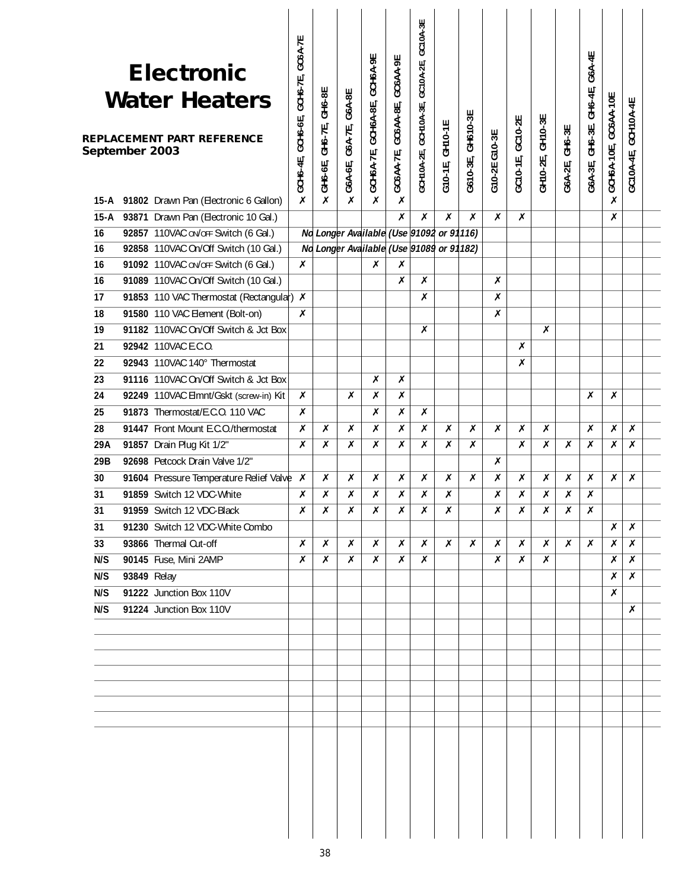| 15-A<br>$15-A$ | September 2003 | <b>Electronic</b><br><b>Water Heaters</b><br><b>REPLACEMENT PART REFERENCE</b><br>91802 Drawn Pan (Electronic 6 Gallon)<br>93871 Drawn Pan (Electronic 10 Gal.) | GCH6-4E, GCH6-6E, GCH6-7E, GC6A-7E<br>X | GH6-8E<br>GH6-7E,<br><b>GH6-6E,</b><br>$\boldsymbol{x}$ | G6A-6E, G6A-7E, G6A-8E<br>$\boldsymbol{x}$ | GCH6A-9E<br>GCH6A-8E,<br>GCH6A-7E,<br>$\boldsymbol{x}$ | GC6AA-7E, GC6AA-8E, GC6AA-9E<br>$\boldsymbol{x}$<br>X | GCH10A-2E, GCH10A-3E, GC10A-2E, GC10A-3E<br>Х | 310-1E, GH10-1E<br>X | G610-3E, GH610-3E<br>X | G10-2E G10-3E<br>X | GC10-1E, GC10-2E<br>X | GH10-2E, GH10-3E | G6A-2E, GH6-3E | G6A-4E<br>$GH6-4E,$<br>G6A-3E, GH6-3E. | GCH6A-10E, GC6AA-10E<br>$\boldsymbol{\mathsf{x}}$<br>X | GC10A-4E, GCH10A-4E |  |
|----------------|----------------|-----------------------------------------------------------------------------------------------------------------------------------------------------------------|-----------------------------------------|---------------------------------------------------------|--------------------------------------------|--------------------------------------------------------|-------------------------------------------------------|-----------------------------------------------|----------------------|------------------------|--------------------|-----------------------|------------------|----------------|----------------------------------------|--------------------------------------------------------|---------------------|--|
| 16             |                | 92857 110VAC ON/OFF Switch (6 Gal.)                                                                                                                             |                                         |                                                         |                                            |                                                        | No Longer Available (Use 91092 or 91116)              |                                               |                      |                        |                    |                       |                  |                |                                        |                                                        |                     |  |
| 16             |                | 92858 110VAC On/Off Switch (10 Gal.)                                                                                                                            |                                         |                                                         |                                            |                                                        | No Longer Available (Use 91089 or 91182)              |                                               |                      |                        |                    |                       |                  |                |                                        |                                                        |                     |  |
| 16             |                | 91092 110VAC ON/OFF Switch (6 Gal.)                                                                                                                             | X                                       |                                                         |                                            | Х                                                      | Х                                                     |                                               |                      |                        |                    |                       |                  |                |                                        |                                                        |                     |  |
| 16             |                | 91089 110VAC On/Off Switch (10 Gal.)                                                                                                                            |                                         |                                                         |                                            |                                                        | Х                                                     | X                                             |                      |                        | X                  |                       |                  |                |                                        |                                                        |                     |  |
| 17             |                | 91853 110 VAC Thermostat (Rectangular) X                                                                                                                        |                                         |                                                         |                                            |                                                        |                                                       | X                                             |                      |                        | X                  |                       |                  |                |                                        |                                                        |                     |  |
| 18             |                | 91580 110 VAC Element (Bolt-on)                                                                                                                                 | X                                       |                                                         |                                            |                                                        |                                                       |                                               |                      |                        | Х                  |                       |                  |                |                                        |                                                        |                     |  |
| 19             |                | 91182 110VAC On/Off Switch & Jct Box                                                                                                                            |                                         |                                                         |                                            |                                                        |                                                       | Х                                             |                      |                        |                    |                       | X                |                |                                        |                                                        |                     |  |
| 21             |                | 92942 110VAC E.C.O.                                                                                                                                             |                                         |                                                         |                                            |                                                        |                                                       |                                               |                      |                        |                    | Х                     |                  |                |                                        |                                                        |                     |  |
| 22             |                | 92943 110VAC 140° Thermostat                                                                                                                                    |                                         |                                                         |                                            |                                                        |                                                       |                                               |                      |                        |                    | X                     |                  |                |                                        |                                                        |                     |  |
| 23             |                | 91116 110VAC On/Off Switch & Jct Box                                                                                                                            |                                         |                                                         |                                            |                                                        |                                                       |                                               |                      |                        |                    |                       |                  |                |                                        |                                                        |                     |  |
| 24             |                | 92249 110VAC Elmnt/Gskt (screw-in) Kit                                                                                                                          | X                                       |                                                         | Х                                          | Х                                                      | Х<br>X                                                |                                               |                      |                        |                    |                       |                  |                | X                                      | $\boldsymbol{x}$                                       |                     |  |
|                |                | 91873 Thermostat/E.C.O. 110 VAC                                                                                                                                 |                                         |                                                         |                                            | Х                                                      |                                                       |                                               |                      |                        |                    |                       |                  |                |                                        |                                                        |                     |  |
| 25             |                |                                                                                                                                                                 | $\pmb{\times}$                          |                                                         |                                            | X                                                      | X                                                     | Х                                             |                      |                        |                    |                       |                  |                |                                        |                                                        |                     |  |
| 28             |                | 91447 Front Mount E.C.O./thermostat                                                                                                                             | X                                       | X                                                       | Х                                          | X                                                      | X                                                     | Х                                             | $\boldsymbol{x}$     | X                      | X                  | X                     | Х                |                | X                                      | X                                                      | X                   |  |
| 29A            |                | 91857 Drain Plug Kit 1/2"                                                                                                                                       | X                                       | X                                                       | X                                          | Х                                                      | Х                                                     | Х                                             | X                    | X                      |                    | X                     | X                | X              | X                                      | $\pmb{\mathsf{x}}$                                     | Х                   |  |
| 29B            |                | 92698 Petcock Drain Valve 1/2"                                                                                                                                  |                                         |                                                         |                                            |                                                        |                                                       |                                               |                      |                        | Х                  |                       |                  |                |                                        |                                                        |                     |  |
| 30             |                | 91604 Pressure Temperature Relief Valve                                                                                                                         | X                                       | X                                                       | X                                          | X                                                      | Х                                                     | X                                             | X                    | X                      | Х                  | Х                     | Х                | X              | X                                      | $\boldsymbol{x}$                                       | Х                   |  |
| 31             |                | 91859 Switch 12 VDC-White                                                                                                                                       | X                                       | X                                                       | X                                          | Х                                                      | X                                                     | Х                                             | Х                    |                        | Х                  | X                     | Х                | Х              | X                                      |                                                        |                     |  |
| 31             |                | 91959 Switch 12 VDC-Black                                                                                                                                       | Х                                       | Х                                                       | Х                                          | Х                                                      | Х                                                     | Х                                             | Х                    |                        | Х                  | Х                     | Х                | X              | Х                                      |                                                        |                     |  |
| 31             |                | 91230 Switch 12 VDC-White Combo                                                                                                                                 |                                         |                                                         |                                            |                                                        |                                                       |                                               |                      |                        |                    |                       |                  |                |                                        | Х                                                      | Х                   |  |
| 33             |                | 93866 Thermal Cut-off                                                                                                                                           | X                                       | X                                                       | X                                          | Х                                                      | X                                                     | X                                             | X                    | X                      | X                  | X                     | Х                | X              | X                                      | X                                                      | Х                   |  |
| N/S            |                | 90145 Fuse, Mini 2AMP                                                                                                                                           | X                                       | Х                                                       | $\boldsymbol{x}$                           | Х                                                      | X                                                     | Х                                             |                      |                        | Х                  | X                     | Х                |                |                                        | X                                                      | Х                   |  |
| N/S            | 93849 Relay    |                                                                                                                                                                 |                                         |                                                         |                                            |                                                        |                                                       |                                               |                      |                        |                    |                       |                  |                |                                        | X                                                      | Х                   |  |
| N/S            |                | 91222 Junction Box 110V                                                                                                                                         |                                         |                                                         |                                            |                                                        |                                                       |                                               |                      |                        |                    |                       |                  |                |                                        | X                                                      |                     |  |
| N/S            |                | 91224 Junction Box 110V                                                                                                                                         |                                         |                                                         |                                            |                                                        |                                                       |                                               |                      |                        |                    |                       |                  |                |                                        |                                                        | Х                   |  |
|                |                |                                                                                                                                                                 |                                         |                                                         |                                            |                                                        |                                                       |                                               |                      |                        |                    |                       |                  |                |                                        |                                                        |                     |  |
|                |                |                                                                                                                                                                 |                                         |                                                         |                                            |                                                        |                                                       |                                               |                      |                        |                    |                       |                  |                |                                        |                                                        |                     |  |
|                |                |                                                                                                                                                                 |                                         |                                                         |                                            |                                                        |                                                       |                                               |                      |                        |                    |                       |                  |                |                                        |                                                        |                     |  |
|                |                |                                                                                                                                                                 |                                         |                                                         |                                            |                                                        |                                                       |                                               |                      |                        |                    |                       |                  |                |                                        |                                                        |                     |  |
|                |                |                                                                                                                                                                 |                                         |                                                         |                                            |                                                        |                                                       |                                               |                      |                        |                    |                       |                  |                |                                        |                                                        |                     |  |
|                |                |                                                                                                                                                                 |                                         |                                                         |                                            |                                                        |                                                       |                                               |                      |                        |                    |                       |                  |                |                                        |                                                        |                     |  |
|                |                |                                                                                                                                                                 |                                         |                                                         |                                            |                                                        |                                                       |                                               |                      |                        |                    |                       |                  |                |                                        |                                                        |                     |  |
|                |                |                                                                                                                                                                 |                                         |                                                         |                                            |                                                        |                                                       |                                               |                      |                        |                    |                       |                  |                |                                        |                                                        |                     |  |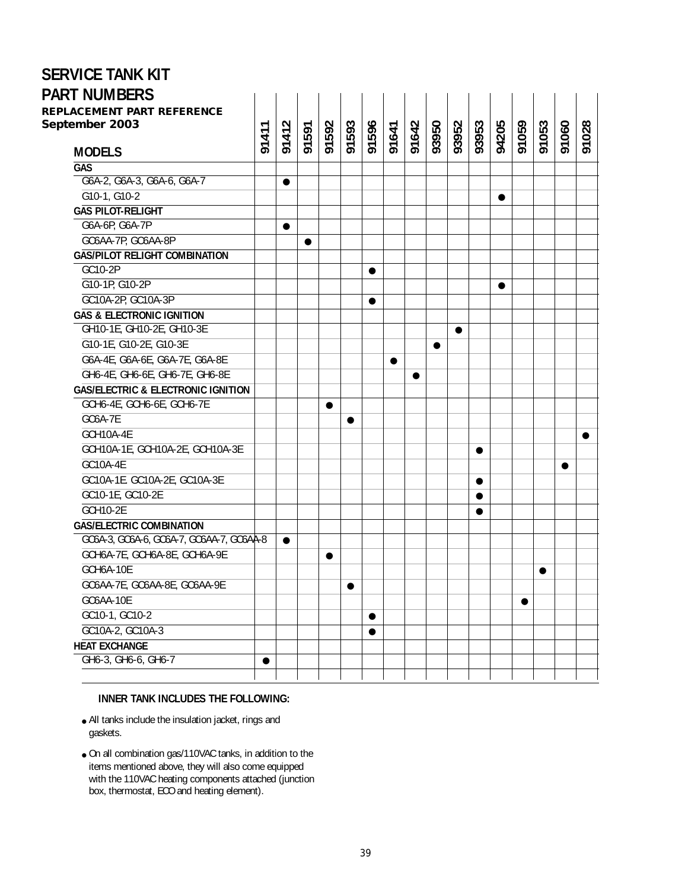| <b>SERVICE TANK KIT</b>                                                    |       |       |       |       |           |           |       |           |       |       |       |           |       |           |       |       |
|----------------------------------------------------------------------------|-------|-------|-------|-------|-----------|-----------|-------|-----------|-------|-------|-------|-----------|-------|-----------|-------|-------|
| <b>PART NUMBERS</b><br><b>REPLACEMENT PART REFERENCE</b><br>September 2003 | 91411 | 91412 | 91591 | 91592 | 91593     | 91596     | 91641 | 91642     | 93950 | 93952 | 93953 | 94205     | 91059 | 91053     | 91060 | 91028 |
| <b>MODELS</b>                                                              |       |       |       |       |           |           |       |           |       |       |       |           |       |           |       |       |
| <b>GAS</b>                                                                 |       |       |       |       |           |           |       |           |       |       |       |           |       |           |       |       |
| G6A-2, G6A-3, G6A-6, G6A-7                                                 |       |       |       |       |           |           |       |           |       |       |       |           |       |           |       |       |
| G10-1, G10-2                                                               |       |       |       |       |           |           |       |           |       |       |       | $\bullet$ |       |           |       |       |
| <b>GAS PILOT-RELIGHT</b>                                                   |       |       |       |       |           |           |       |           |       |       |       |           |       |           |       |       |
| G6A-6P, G6A-7P                                                             |       |       |       |       |           |           |       |           |       |       |       |           |       |           |       |       |
| GC6AA-7P, GC6AA-8P                                                         |       |       |       |       |           |           |       |           |       |       |       |           |       |           |       |       |
| <b>GAS/PILOT RELIGHT COMBINATION</b>                                       |       |       |       |       |           |           |       |           |       |       |       |           |       |           |       |       |
| GC10-2P                                                                    |       |       |       |       |           | $\bullet$ |       |           |       |       |       |           |       |           |       |       |
| G10-1P, G10-2P                                                             |       |       |       |       |           |           |       |           |       |       |       |           |       |           |       |       |
| GC10A-2P, GC10A-3P                                                         |       |       |       |       |           | $\bullet$ |       |           |       |       |       |           |       |           |       |       |
| <b>GAS &amp; ELECTRONIC IGNITION</b>                                       |       |       |       |       |           |           |       |           |       |       |       |           |       |           |       |       |
| GH10-1E, GH10-2E, GH10-3E                                                  |       |       |       |       |           |           |       |           |       |       |       |           |       |           |       |       |
| G10-1E, G10-2E, G10-3E                                                     |       |       |       |       |           |           |       |           |       |       |       |           |       |           |       |       |
| G6A-4E, G6A-6E, G6A-7E, G6A-8E                                             |       |       |       |       |           |           |       |           |       |       |       |           |       |           |       |       |
| GH6-4E, GH6-6E, GH6-7E, GH6-8E                                             |       |       |       |       |           |           |       | $\bullet$ |       |       |       |           |       |           |       |       |
| <b>GAS/ELECTRIC &amp; ELECTRONIC IGNITION</b>                              |       |       |       |       |           |           |       |           |       |       |       |           |       |           |       |       |
| GCH6-4E, GCH6-6E, GCH6-7E                                                  |       |       |       | ●     |           |           |       |           |       |       |       |           |       |           |       |       |
| GC6A-7E                                                                    |       |       |       |       | e         |           |       |           |       |       |       |           |       |           |       |       |
| GCH10A-4E                                                                  |       |       |       |       |           |           |       |           |       |       |       |           |       |           |       | ●     |
| GCH10A-1E, GCH10A-2E, GCH10A-3E                                            |       |       |       |       |           |           |       |           |       |       |       |           |       |           |       |       |
| GC10A-4E                                                                   |       |       |       |       |           |           |       |           |       |       |       |           |       |           |       |       |
| GC10A-1E. GC10A-2E, GC10A-3E                                               |       |       |       |       |           |           |       |           |       |       |       |           |       |           |       |       |
| GC10-1E, GC10-2E                                                           |       |       |       |       |           |           |       |           |       |       |       |           |       |           |       |       |
| <b>GCH10-2E</b>                                                            |       |       |       |       |           |           |       |           |       |       |       |           |       |           |       |       |
| <b>GAS/ELECTRIC COMBINATION</b>                                            |       |       |       |       |           |           |       |           |       |       |       |           |       |           |       |       |
| GC6A-3, GC6A-6, GC6A-7, GC6AA-7, GC6AA-8                                   |       |       |       |       |           |           |       |           |       |       |       |           |       |           |       |       |
| GCH6A-7E, GCH6A-8E, GCH6A-9E                                               |       |       |       |       |           |           |       |           |       |       |       |           |       |           |       |       |
| GCH6A-10E                                                                  |       |       |       |       |           |           |       |           |       |       |       |           |       | $\bullet$ |       |       |
| GC6AA-7E, GC6AA-8E, GC6AA-9E                                               |       |       |       |       | $\bullet$ |           |       |           |       |       |       |           |       |           |       |       |
| GC6AA-10E                                                                  |       |       |       |       |           |           |       |           |       |       |       |           |       |           |       |       |
| GC10-1, GC10-2                                                             |       |       |       |       |           | $\bullet$ |       |           |       |       |       |           |       |           |       |       |
| GC10A-2, GC10A-3                                                           |       |       |       |       |           | $\bullet$ |       |           |       |       |       |           |       |           |       |       |
| <b>HEAT EXCHANGE</b>                                                       |       |       |       |       |           |           |       |           |       |       |       |           |       |           |       |       |
| GH6-3, GH6-6, GH6-7                                                        | 0     |       |       |       |           |           |       |           |       |       |       |           |       |           |       |       |
|                                                                            |       |       |       |       |           |           |       |           |       |       |       |           |       |           |       |       |

## **INNER TANK INCLUDES THE FOLLOWING:**

- All tanks include the insulation jacket, rings and gaskets.
- On all combination gas/110VAC tanks, in addition to the items mentioned above, they will also come equipped with the 110VAC heating components attached (junction box, thermostat, ECO and heating element).